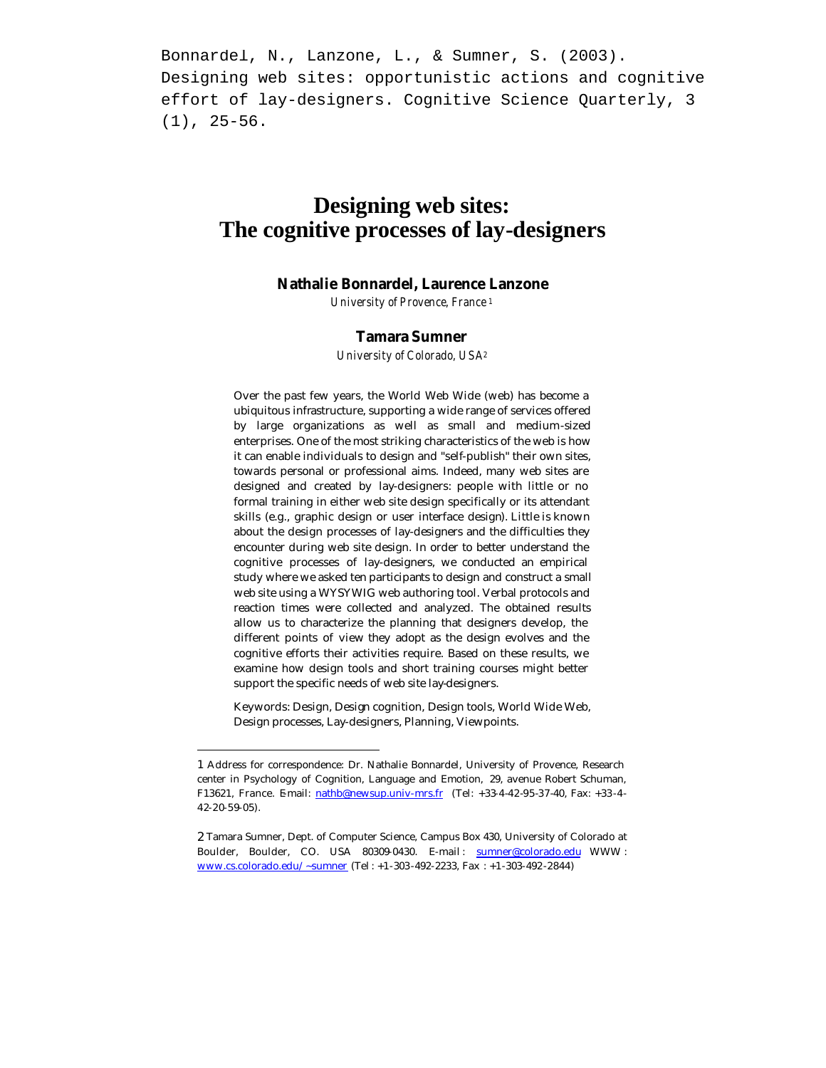Bonnardel, N., Lanzone, L., & Sumner, S. (2003). Designing web sites: opportunistic actions and cognitive effort of lay-designers. Cognitive Science Quarterly, 3 (1), 25-56.

# **Designing web sites: The cognitive processes of lay-designers**

# **Nathalie Bonnardel, Laurence Lanzone**

*University of Provence, France <sup>1</sup>*

### **Tamara Sumner**

*University of Colorado, USA<sup>2</sup>*

Over the past few years, the World Web Wide (web) has become a ubiquitous infrastructure, supporting a wide range of services offered by large organizations as well as small and medium-sized enterprises. One of the most striking characteristics of the web is how it can enable individuals to design and "self-publish" their own sites, towards personal or professional aims. Indeed, many web sites are designed and created by lay-designers: people with little or no formal training in either web site design specifically or its attendant skills (e.g., graphic design or user interface design). Little is known about the design processes of lay-designers and the difficulties they encounter during web site design. In order to better understand the cognitive processes of lay-designers, we conducted an empirical study where we asked ten participants to design and construct a small web site using a WYSYWIG web authoring tool. Verbal protocols and reaction times were collected and analyzed. The obtained results allow us to characterize the planning that designers develop, the different points of view they adopt as the design evolves and the cognitive efforts their activities require. Based on these results, we examine how design tools and short training courses might better support the specific needs of web site lay-designers.

Keywords: Design, Design cognition, Design tools, World Wide Web, Design processes, Lay-designers, Planning, Viewpoints.

j

<sup>1</sup> Address for correspondence: Dr. Nathalie Bonnardel, University of Provence, Research center in Psychology of Cognition, Language and Emotion, 29, avenue Robert Schuman, F13621, France. Email: nathb@newsup.univ-mrs.fr (Tel: +33-4-42-95-37-40, Fax: +33-4-42-20-59-05).

<sup>2</sup> Tamara Sumner, Dept. of Computer Science, Campus Box 430, University of Colorado at Boulder, Boulder, CO. USA 80309-0430. E-mail: sumner@colorado.edu WWW: www.cs.colorado.edu/~sumner (Tel : +1-303 -492-2233, Fax : +1-303-492 -2844)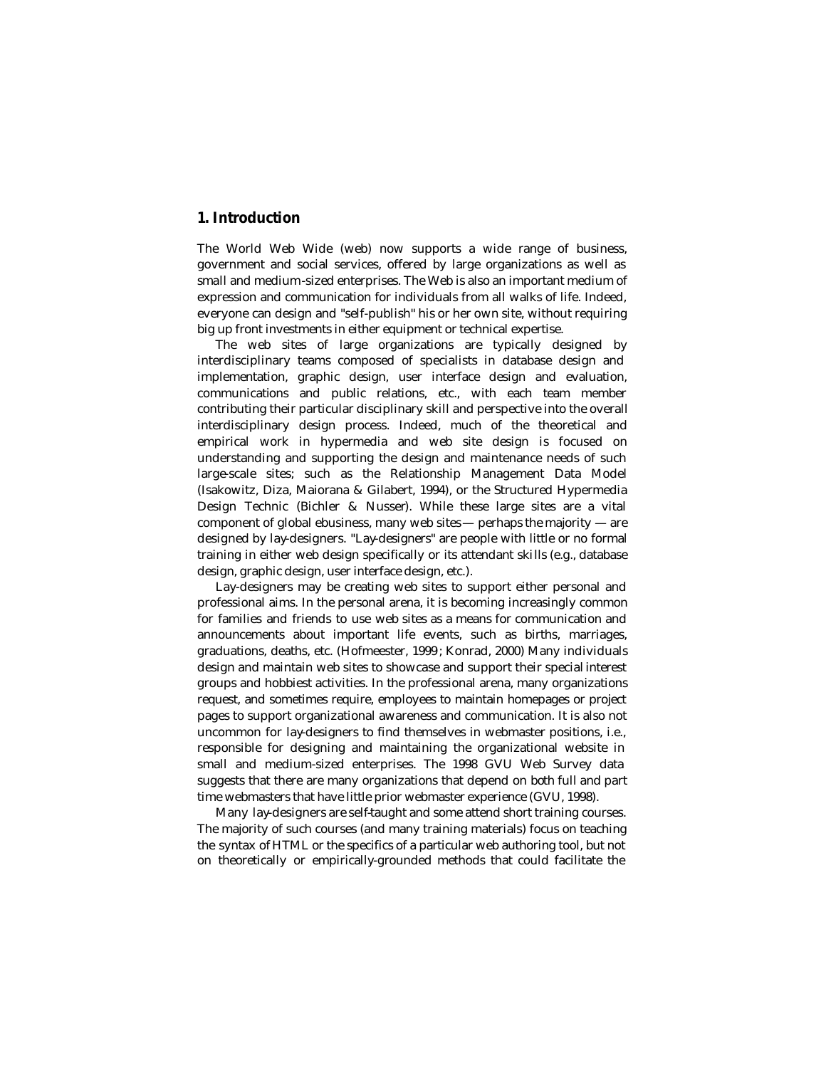# **1. Introduction**

The World Web Wide (web) now supports a wide range of business, government and social services, offered by large organizations as well as small and medium-sized enterprises. The Web is also an important medium of expression and communication for individuals from all walks of life. Indeed, everyone can design and "self-publish" his or her own site, without requiring big up front investments in either equipment or technical expertise.

The web sites of large organizations are typically designed by interdisciplinary teams composed of specialists in database design and implementation, graphic design, user interface design and evaluation, communications and public relations, etc., with each team member contributing their particular disciplinary skill and perspective into the overall interdisciplinary design process. Indeed, much of the theoretical and empirical work in hypermedia and web site design is focused on understanding and supporting the design and maintenance needs of such large-scale sites; such as the Relationship Management Data Model (Isakowitz, Diza, Maiorana & Gilabert, 1994), or the Structured Hypermedia Design Technic (Bichler & Nusser). While these large sites are a vital component of global ebusiness, many web sites  $-$  perhaps the majority  $-$  are designed by lay-designers. "Lay-designers" are people with little or no formal training in either web design specifically or its attendant skills (e.g., database design, graphic design, user interface design, etc.).

Lay-designers may be creating web sites to support either personal and professional aims. In the personal arena, it is becoming increasingly common for families and friends to use web sites as a means for communication and announcements about important life events, such as births, marriages, graduations, deaths, etc. (Hofmeester, 1999 ; Konrad, 2000) Many individuals design and maintain web sites to showcase and support their special interest groups and hobbiest activities. In the professional arena, many organizations request, and sometimes require, employees to maintain homepages or project pages to support organizational awareness and communication. It is also not uncommon for lay-designers to find themselves in webmaster positions, i.e., responsible for designing and maintaining the organizational website in small and medium-sized enterprises. The 1998 GVU Web Survey data suggests that there are many organizations that depend on both full and part time webmasters that have little prior webmaster experience (GVU, 1998).

Many lay-designers are self-taught and some attend short training courses. The majority of such courses (and many training materials) focus on teaching the syntax of HTML or the specifics of a particular web authoring tool, but not on theoretically or empirically-grounded methods that could facilitate the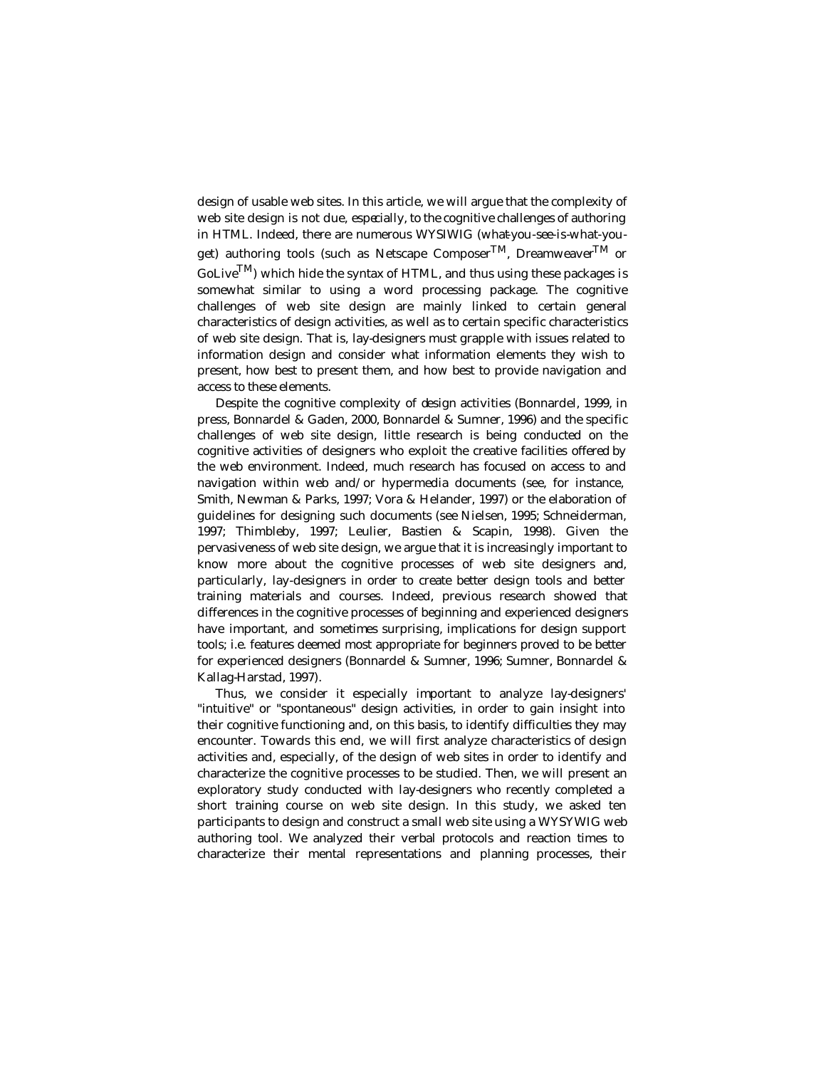design of usable web sites. In this article, we will argue that the complexity of web site design is not due, especially, to the cognitive challenges of authoring in HTML. Indeed, there are numerous WYSIWIG (what-you-see-is-what-youget) authoring tools (such as Netscape Composer<sup>TM</sup>, Dreamweaver<sup>TM</sup> or  $\text{Golive}^{\text{TM}}$  which hide the syntax of HTML, and thus using these packages is somewhat similar to using a word processing package. The cognitive challenges of web site design are mainly linked to certain general characteristics of design activities, as well as to certain specific characteristics of web site design. That is, lay-designers must grapple with issues related to information design and consider what information elements they wish to present, how best to present them, and how best to provide navigation and access to these elements.

Despite the cognitive complexity of design activities (Bonnardel, 1999, in press, Bonnardel & Gaden, 2000, Bonnardel & Sumner, 1996) and the specific challenges of web site design, little research is being conducted on the cognitive activities of designers who exploit the creative facilities offered by the web environment. Indeed, much research has focused on access to and navigation within web and/or hypermedia documents (see, for instance, Smith, Newman & Parks, 1997; Vora & Helander, 1997) or the elaboration of guidelines for designing such documents (see Nielsen, 1995; Schneiderman, 1997; Thimbleby, 1997; Leulier, Bastien & Scapin, 1998). Given the pervasiveness of web site design, we argue that it is increasingly important to know more about the cognitive processes of web site designers and, particularly, lay-designers in order to create better design tools and better training materials and courses. Indeed, previous research showed that differences in the cognitive processes of beginning and experienced designers have important, and sometimes surprising, implications for design support tools; i.e. features deemed most appropriate for beginners proved to be better for experienced designers (Bonnardel & Sumner, 1996; Sumner, Bonnardel & Kallag-Harstad, 1997).

Thus, we consider it especially important to analyze lay-designers' "intuitive" or "spontaneous" design activities, in order to gain insight into their cognitive functioning and, on this basis, to identify difficulties they may encounter. Towards this end, we will first analyze characteristics of design activities and, especially, of the design of web sites in order to identify and characterize the cognitive processes to be studied. Then, we will present an exploratory study conducted with lay-designers who recently completed a short training course on web site design. In this study, we asked ten participants to design and construct a small web site using a WYSYWIG web authoring tool. We analyzed their verbal protocols and reaction times to characterize their mental representations and planning processes, their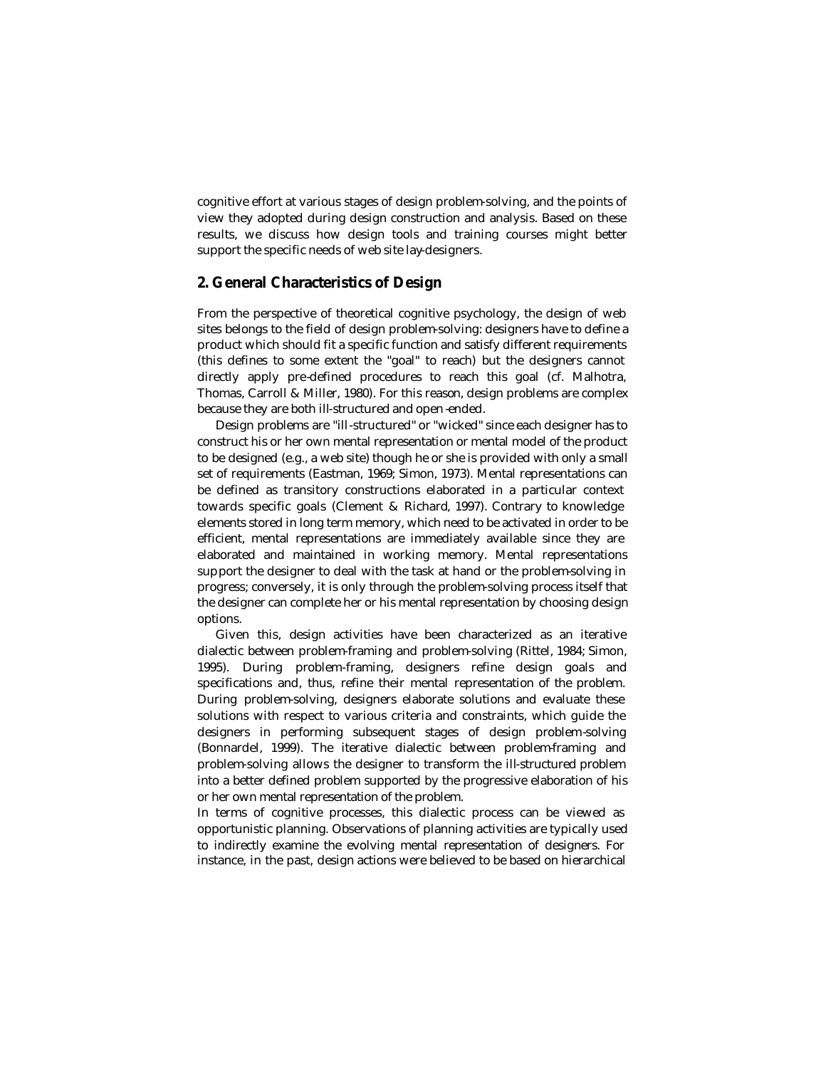cognitive effort at various stages of design problem-solving, and the points of view they adopted during design construction and analysis. Based on these results, we discuss how design tools and training courses might better support the specific needs of web site lay-designers.

### **2. General Characteristics of Design**

From the perspective of theoretical cognitive psychology, the design of web sites belongs to the field of design problem-solving: designers have to define a product which should fit a specific function and satisfy different requirements (this defines to some extent the "goal" to reach) but the designers cannot directly apply pre-defined procedures to reach this goal (cf. Malhotra, Thomas, Carroll & Miller, 1980). For this reason, design problems are complex because they are both ill-structured and open-ended.

Design problems are "ill-structured" or "wicked" since each designer has to construct his or her own mental representation or mental model of the product to be designed (e.g., a web site) though he or she is provided with only a small set of requirements (Eastman, 1969; Simon, 1973). Mental representations can be defined as transitory constructions elaborated in a particular context towards specific goals (Clement & Richard, 1997). Contrary to knowledge elements stored in long term memory, which need to be activated in order to be efficient, mental representations are immediately available since they are elaborated and maintained in working memory. Mental representations support the designer to deal with the task at hand or the problem-solving in progress; conversely, it is only through the problem-solving process itself that the designer can complete her or his mental representation by choosing design options.

Given this, design activities have been characterized as an iterative dialectic between problem-framing and problem-solving (Rittel, 1984; Simon, 1995). During problem-framing, designers refine design goals and specifications and, thus, refine their mental representation of the problem. During problem-solving, designers elaborate solutions and evaluate these solutions with respect to various criteria and constraints, which guide the designers in performing subsequent stages of design problem-solving (Bonnardel, 1999). The iterative dialectic between problem-framing and problem-solving allows the designer to transform the ill-structured problem into a better defined problem supported by the progressive elaboration of his or her own mental representation of the problem.

In terms of cognitive processes, this dialectic process can be viewed as opportunistic planning. Observations of planning activities are typically used to indirectly examine the evolving mental representation of designers. For instance, in the past, design actions were believed to be based on hierarchical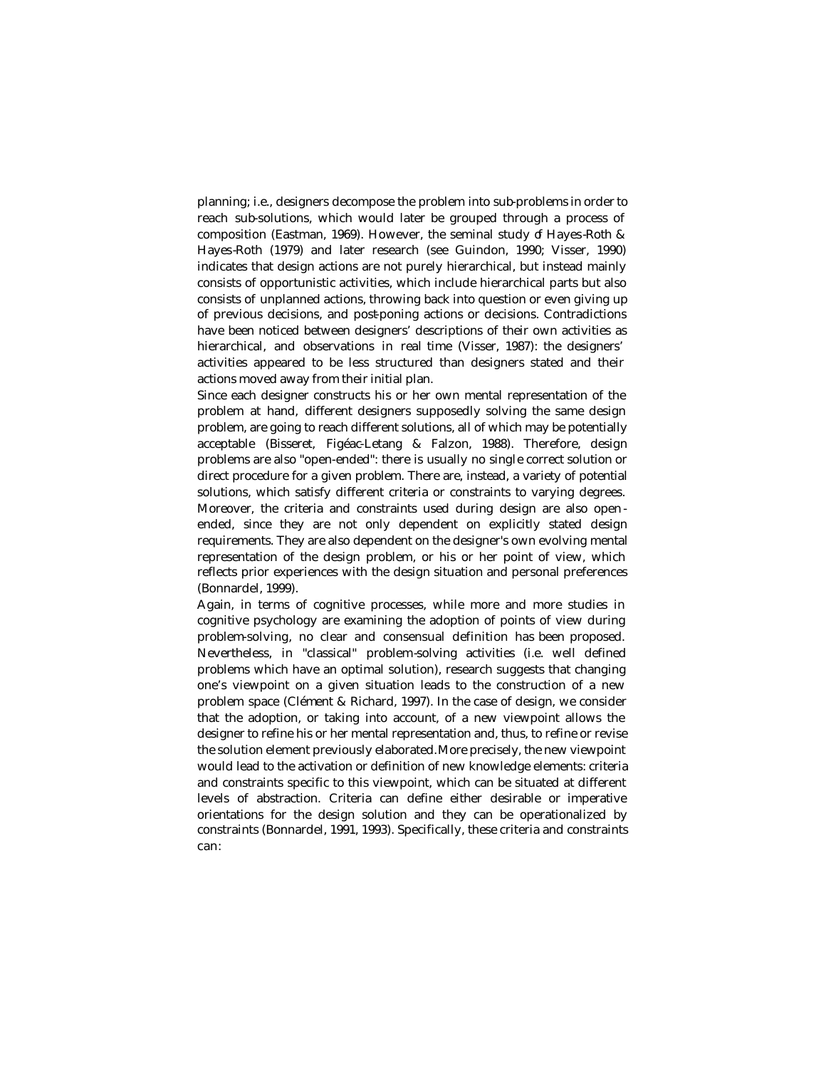planning; i.e., designers decompose the problem into sub-problems in order to reach sub-solutions, which would later be grouped through a process of composition (Eastman, 1969). However, the seminal study of Hayes-Roth & Hayes-Roth (1979) and later research (see Guindon, 1990; Visser, 1990) indicates that design actions are not purely hierarchical, but instead mainly consists of opportunistic activities, which include hierarchical parts but also consists of unplanned actions, throwing back into question or even giving up of previous decisions, and post-poning actions or decisions. Contradictions have been noticed between designers' descriptions of their own activities as hierarchical, and observations in real time (Visser, 1987): the designers' activities appeared to be less structured than designers stated and their actions moved away from their initial plan.

Since each designer constructs his or her own mental representation of the problem at hand, different designers supposedly solving the same design problem, are going to reach different solutions, all of which may be potentially acceptable (Bisseret, Figéac-Letang & Falzon, 1988). Therefore, design problems are also "open-ended": there is usually no single correct solution or direct procedure for a given problem. There are, instead, a variety of potential solutions, which satisfy different criteria or constraints to varying degrees. Moreover, the criteria and constraints used during design are also open ended, since they are not only dependent on explicitly stated design requirements. They are also dependent on the designer's own evolving mental representation of the design problem, or his or her point of view, which reflects prior experiences with the design situation and personal preferences (Bonnardel, 1999).

Again, in terms of cognitive processes, while more and more studies in cognitive psychology are examining the adoption of points of view during problem-solving, no clear and consensual definition has been proposed. Nevertheless, in "classical" problem-solving activities (i.e. well defined problems which have an optimal solution), research suggests that changing one's viewpoint on a given situation leads to the construction of a new problem space (Clément & Richard, 1997). In the case of design, we consider that the adoption, or taking into account, of a new viewpoint allows the designer to refine his or her mental representation and, thus, to refine or revise the solution element previously elaborated. More precisely, the new viewpoint would lead to the activation or definition of new knowledge elements: criteria and constraints specific to this viewpoint, which can be situated at different levels of abstraction. Criteria can define either desirable or imperative orientations for the design solution and they can be operationalized by constraints (Bonnardel, 1991, 1993). Specifically, these criteria and constraints can: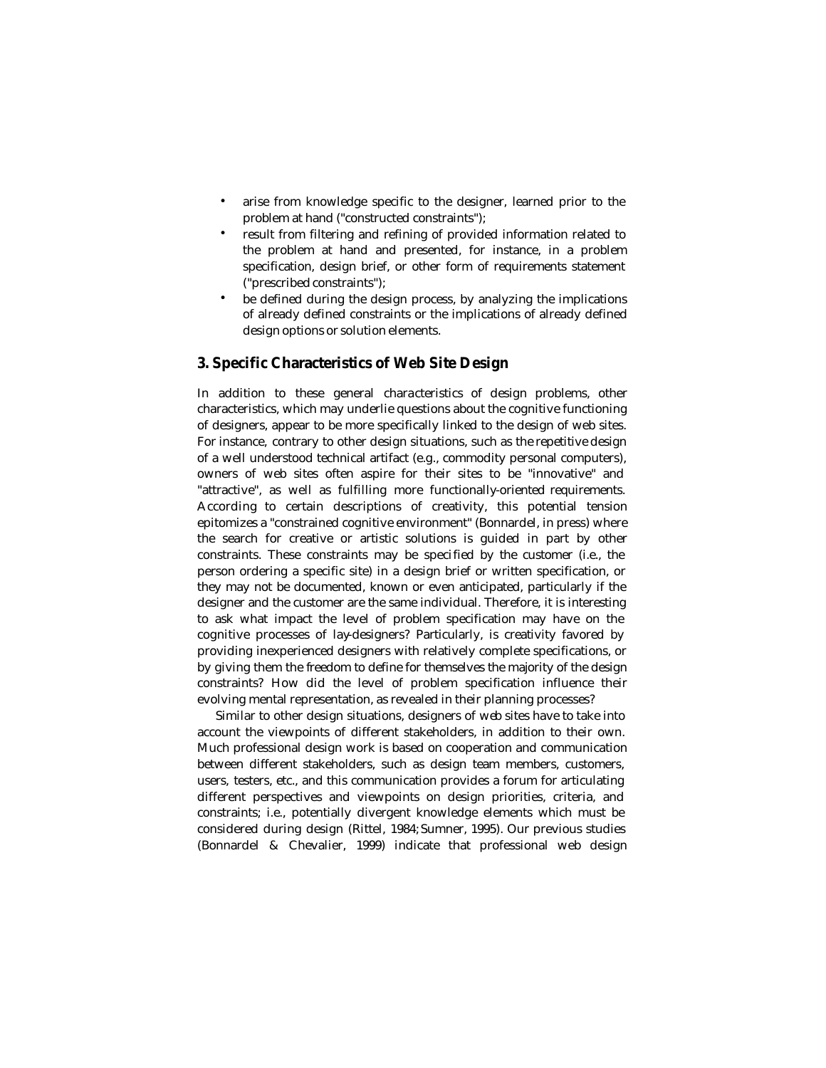- arise from knowledge specific to the designer, learned prior to the problem at hand ("constructed constraints");
- result from filtering and refining of provided information related to the problem at hand and presented, for instance, in a problem specification, design brief, or other form of requirements statement ("prescribed constraints");
- be defined during the design process, by analyzing the implications of already defined constraints or the implications of already defined design options or solution elements.

# **3. Specific Characteristics of Web Site Design**

In addition to these general characteristics of design problems, other characteristics, which may underlie questions about the cognitive functioning of designers, appear to be more specifically linked to the design of web sites. For instance, contrary to other design situations, such as the repetitive design of a well understood technical artifact (e.g., commodity personal computers), owners of web sites often aspire for their sites to be "innovative" and "attractive", as well as fulfilling more functionally-oriented requirements. According to certain descriptions of creativity, this potential tension epitomizes a "constrained cognitive environment" (Bonnardel, in press) where the search for creative or artistic solutions is guided in part by other constraints. These constraints may be specified by the customer (i.e., the person ordering a specific site) in a design brief or written specification, or they may not be documented, known or even anticipated, particularly if the designer and the customer are the same individual. Therefore, it is interesting to ask what impact the level of problem specification may have on the cognitive processes of lay-designers? Particularly, is creativity favored by providing inexperienced designers with relatively complete specifications, or by giving them the freedom to define for themselves the majority of the design constraints? How did the level of problem specification influence their evolving mental representation, as revealed in their planning processes?

Similar to other design situations, designers of web sites have to take into account the viewpoints of different stakeholders, in addition to their own. Much professional design work is based on cooperation and communication between different stakeholders, such as design team members, customers, users, testers, etc., and this communication provides a forum for articulating different perspectives and viewpoints on design priorities, criteria, and constraints; i.e., potentially divergent knowledge elements which must be considered during design (Rittel, 1984; Sumner, 1995). Our previous studies (Bonnardel & Chevalier, 1999) indicate that professional web design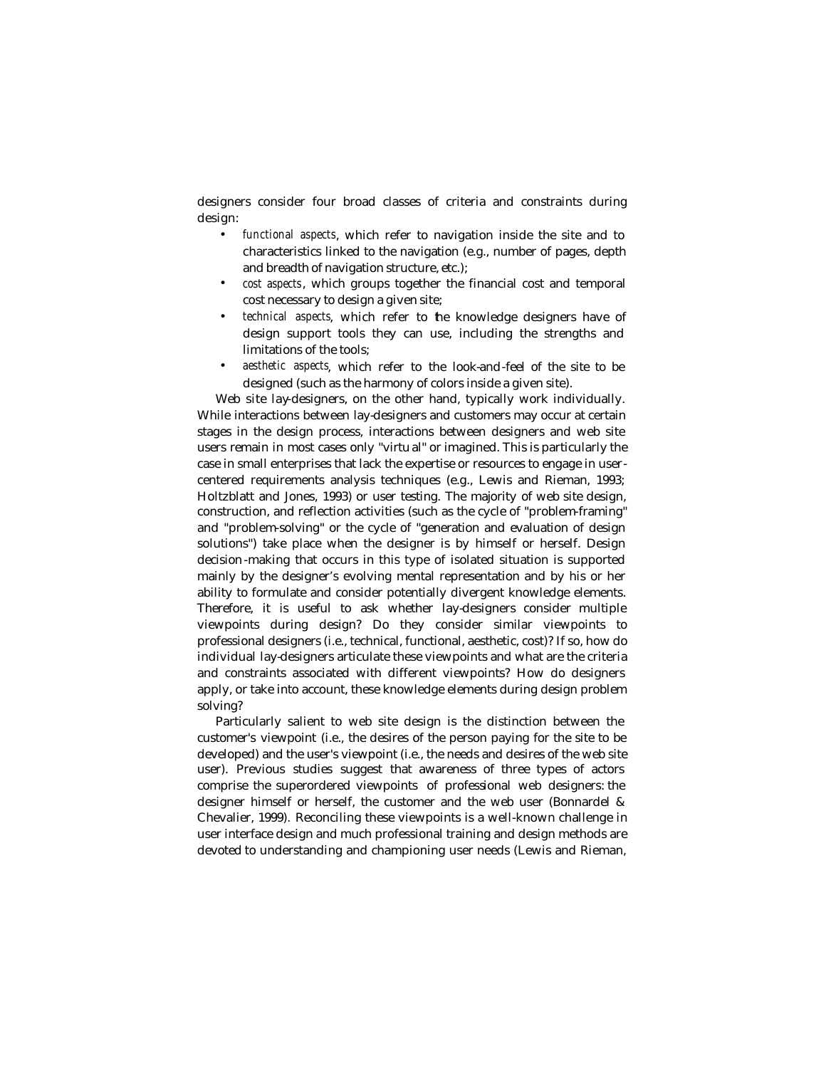designers consider four broad classes of criteria and constraints during design:

- *functional aspects*, which refer to navigation inside the site and to characteristics linked to the navigation (e.g., number of pages, depth and breadth of navigation structure, etc.);
- *cost aspects*, which groups together the financial cost and temporal cost necessary to design a given site;
- *technical aspects*, which refer to the knowledge designers have of design support tools they can use, including the strengths and limitations of the tools;
- *aesthetic aspects*, which refer to the look-and-feel of the site to be designed (such as the harmony of colors inside a given site).

Web site lay-designers, on the other hand, typically work individually. While interactions between lay-designers and customers may occur at certain stages in the design process, interactions between designers and web site users remain in most cases only "virtu al" or imagined. This is particularly the case in small enterprises that lack the expertise or resources to engage in usercentered requirements analysis techniques (e.g., Lewis and Rieman, 1993; Holtzblatt and Jones, 1993) or user testing. The majority of web site design, construction, and reflection activities (such as the cycle of "problem-framing" and "problem-solving" or the cycle of "generation and evaluation of design solutions") take place when the designer is by himself or herself. Design decision -making that occurs in this type of isolated situation is supported mainly by the designer's evolving mental representation and by his or her ability to formulate and consider potentially divergent knowledge elements. Therefore, it is useful to ask whether lay-designers consider multiple viewpoints during design? Do they consider similar viewpoints to professional designers (i.e., technical, functional, aesthetic, cost)? If so, how do individual lay-designers articulate these viewpoints and what are the criteria and constraints associated with different viewpoints? How do designers apply, or take into account, these knowledge elements during design problem solving?

Particularly salient to web site design is the distinction between the customer's viewpoint (i.e., the desires of the person paying for the site to be developed) and the user's viewpoint (i.e., the needs and desires of the web site user). Previous studies suggest that awareness of three types of actors comprise the superordered viewpoints of professional web designers: the designer himself or herself, the customer and the web user (Bonnardel & Chevalier, 1999). Reconciling these viewpoints is a well-known challenge in user interface design and much professional training and design methods are devoted to understanding and championing user needs (Lewis and Rieman,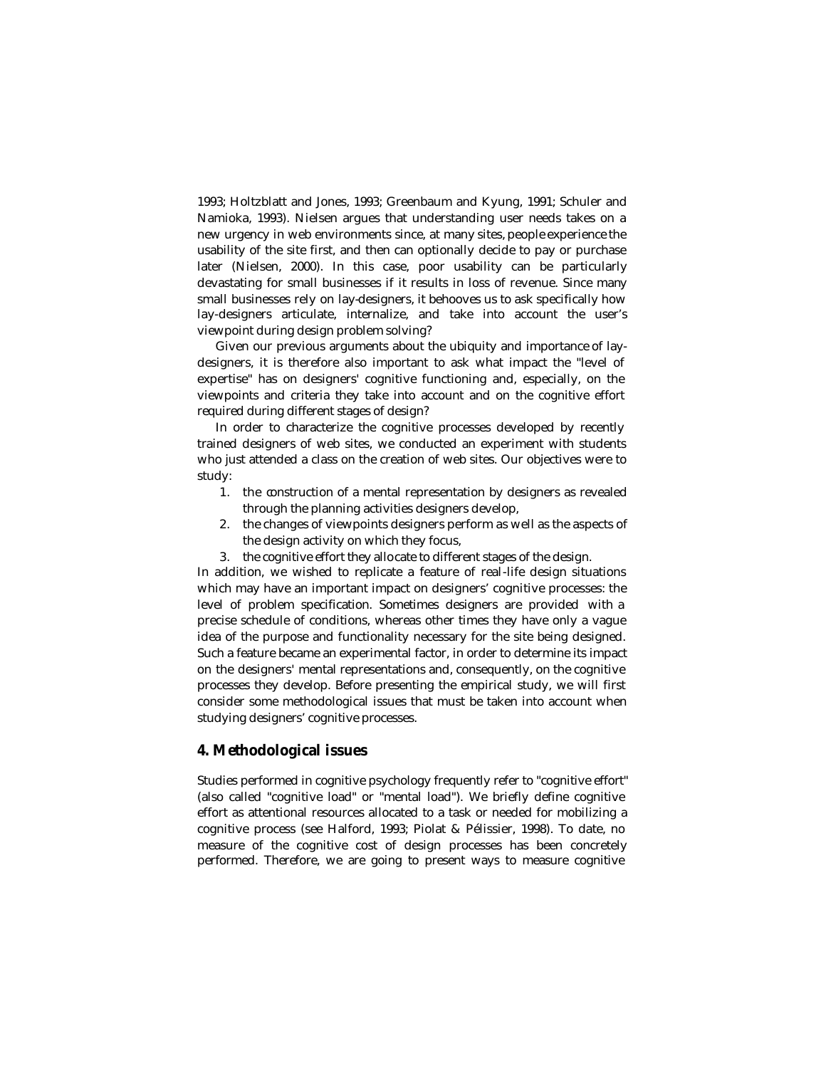1993; Holtzblatt and Jones, 1993; Greenbaum and Kyung, 1991; Schuler and Namioka, 1993). Nielsen argues that understanding user needs takes on a new urgency in web environments since, at many sites, people experience the usability of the site first, and then can optionally decide to pay or purchase later (Nielsen, 2000). In this case, poor usability can be particularly devastating for small businesses if it results in loss of revenue. Since many small businesses rely on lay-designers, it behooves us to ask specifically how lay-designers articulate, internalize, and take into account the user's viewpoint during design problem solving?

Given our previous arguments about the ubiquity and importance of laydesigners, it is therefore also important to ask what impact the "level of expertise" has on designers' cognitive functioning and, especially, on the viewpoints and criteria they take into account and on the cognitive effort required during different stages of design?

In order to characterize the cognitive processes developed by recently trained designers of web sites, we conducted an experiment with students who just attended a class on the creation of web sites. Our objectives were to study:

- 1. the construction of a mental representation by designers as revealed through the planning activities designers develop,
- 2. the changes of viewpoints designers perform as well as the aspects of the design activity on which they focus,
- 3. the cognitive effort they allocate to different stages of the design.

In addition, we wished to replicate a feature of real-life design situations which may have an important impact on designers' cognitive processes: the level of problem specification. Sometimes designers are provided with a precise schedule of conditions, whereas other times they have only a vague idea of the purpose and functionality necessary for the site being designed. Such a feature became an experimental factor, in order to determine its impact on the designers' mental representations and, consequently, on the cognitive processes they develop. Before presenting the empirical study, we will first consider some methodological issues that must be taken into account when studying designers' cognitive processes.

# **4. Methodological issues**

Studies performed in cognitive psychology frequently refer to "cognitive effort" (also called "cognitive load" or "mental load"). We briefly define cognitive effort as attentional resources allocated to a task or needed for mobilizing a cognitive process (see Halford, 1993; Piolat & Pélissier, 1998). To date, no measure of the cognitive cost of design processes has been concretely performed. Therefore, we are going to present ways to measure cognitive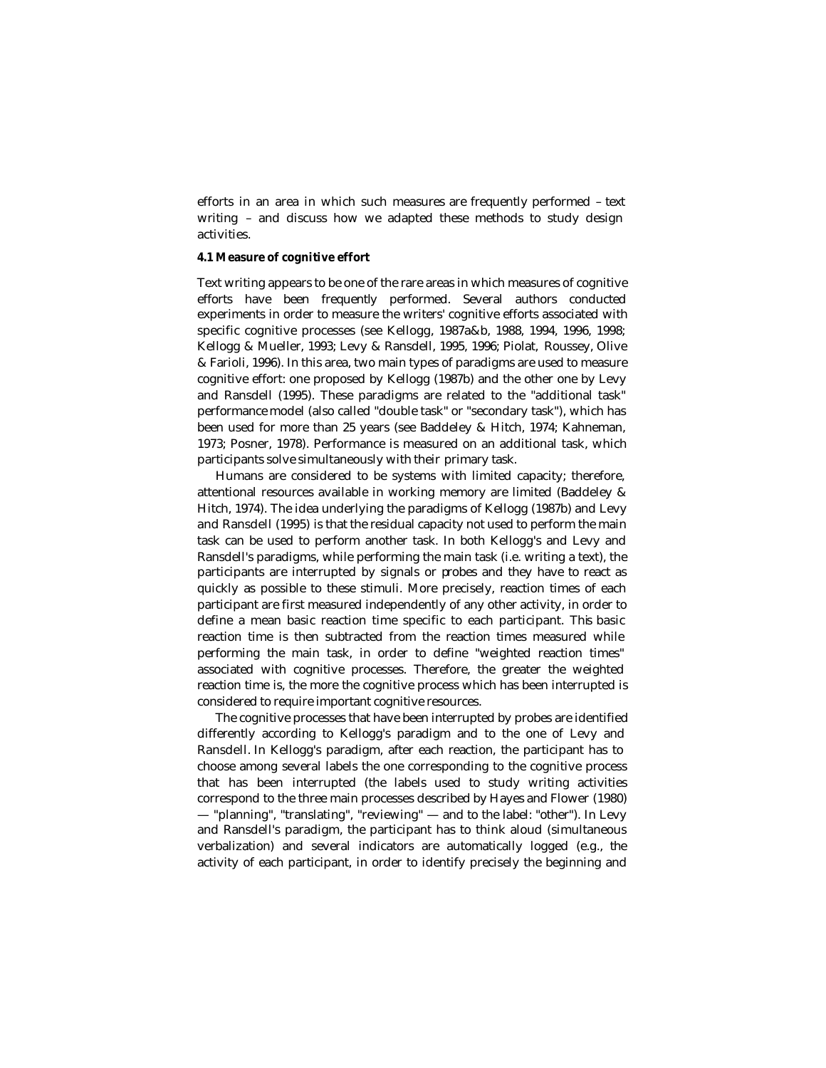efforts in an area in which such measures are frequently performed – text writing – and discuss how we adapted these methods to study design activities.

### **4.1 Measure of cognitive effort**

Text writing appears to be one of the rare areas in which measures of cognitive efforts have been frequently performed. Several authors conducted experiments in order to measure the writers' cognitive efforts associated with specific cognitive processes (see Kellogg, 1987a&b, 1988, 1994, 1996, 1998; Kellogg & Mueller, 1993; Levy & Ransdell, 1995, 1996; Piolat, Roussey, Olive & Farioli, 1996). In this area, two main types of paradigms are used to measure cognitive effort: one proposed by Kellogg (1987b) and the other one by Levy and Ransdell (1995). These paradigms are related to the "additional task" performance model (also called "double task" or "secondary task"), which has been used for more than 25 years (see Baddeley & Hitch, 1974; Kahneman, 1973; Posner, 1978). Performance is measured on an additional task, which participants solve simultaneously with their primary task.

Humans are considered to be systems with limited capacity; therefore, attentional resources available in working memory are limited (Baddeley & Hitch, 1974). The idea underlying the paradigms of Kellogg (1987b) and Levy and Ransdell (1995) is that the residual capacity not used to perform the main task can be used to perform another task. In both Kellogg's and Levy and Ransdell's paradigms, while performing the main task (i.e. writing a text), the participants are interrupted by signals or probes and they have to react as quickly as possible to these stimuli. More precisely, reaction times of each participant are first measured independently of any other activity, in order to define a mean basic reaction time specific to each participant. This basic reaction time is then subtracted from the reaction times measured while performing the main task, in order to define "weighted reaction times" associated with cognitive processes. Therefore, the greater the weighted reaction time is, the more the cognitive process which has been interrupted is considered to require important cognitive resources.

The cognitive processes that have been interrupted by probes are identified differently according to Kellogg's paradigm and to the one of Levy and Ransdell. In Kellogg's paradigm, after each reaction, the participant has to choose among several labels the one corresponding to the cognitive process that has been interrupted (the labels used to study writing activities correspond to the three main processes described by Hayes and Flower (1980) — "planning", "translating", "reviewing" — and to the label: "other"). In Levy and Ransdell's paradigm, the participant has to think aloud (simultaneous verbalization) and several indicators are automatically logged (e.g., the activity of each participant, in order to identify precisely the beginning and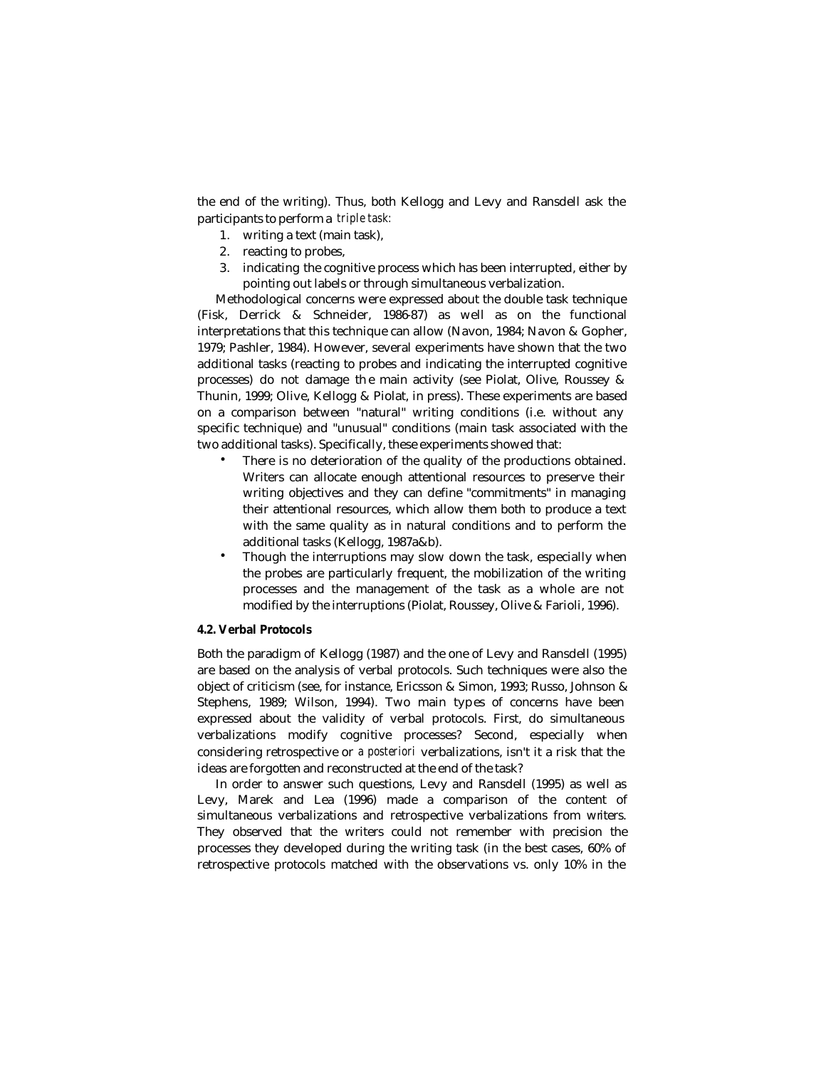the end of the writing). Thus, both Kellogg and Levy and Ransdell ask the participants to perform a *triple task:*

- 1. writing a text (main task),
- 2. reacting to probes,
- 3. indicating the cognitive process which has been interrupted, either by pointing out labels or through simultaneous verbalization.

Methodological concerns were expressed about the double task technique (Fisk, Derrick & Schneider, 1986-87) as well as on the functional interpretations that this technique can allow (Navon, 1984; Navon & Gopher, 1979; Pashler, 1984). However, several experiments have shown that the two additional tasks (reacting to probes and indicating the interrupted cognitive processes) do not damage th e main activity (see Piolat, Olive, Roussey & Thunin, 1999; Olive, Kellogg & Piolat, in press). These experiments are based on a comparison between "natural" writing conditions (i.e. without any specific technique) and "unusual" conditions (main task associated with the two additional tasks). Specifically, these experiments showed that:

- There is no deterioration of the quality of the productions obtained. Writers can allocate enough attentional resources to preserve their writing objectives and they can define "commitments" in managing their attentional resources, which allow them both to produce a text with the same quality as in natural conditions and to perform the additional tasks (Kellogg, 1987a&b).
- Though the interruptions may slow down the task, especially when the probes are particularly frequent, the mobilization of the writing processes and the management of the task as a whole are not modified by the interruptions (Piolat, Roussey, Olive & Farioli, 1996).

### **4.2. Verbal Protocols**

Both the paradigm of Kellogg (1987) and the one of Levy and Ransdell (1995) are based on the analysis of verbal protocols. Such techniques were also the object of criticism (see, for instance, Ericsson & Simon, 1993; Russo, Johnson & Stephens, 1989; Wilson, 1994). Two main types of concerns have been expressed about the validity of verbal protocols. First, do simultaneous verbalizations modify cognitive processes? Second, especially when considering retrospective or *a posteriori* verbalizations, isn't it a risk that the ideas are forgotten and reconstructed at the end of the task?

In order to answer such questions, Levy and Ransdell (1995) as well as Levy, Marek and Lea (1996) made a comparison of the content of simultaneous verbalizations and retrospective verbalizations from writers. They observed that the writers could not remember with precision the processes they developed during the writing task (in the best cases, 60% of retrospective protocols matched with the observations vs. only 10% in the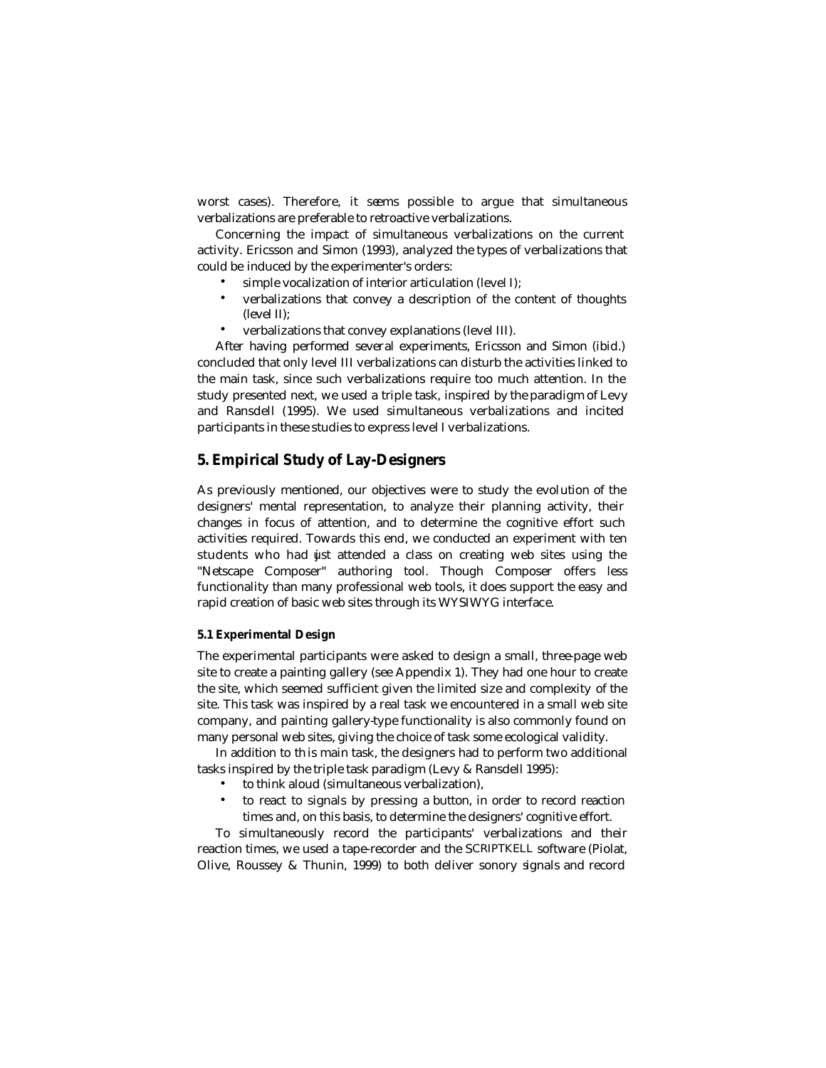worst cases). Therefore, it seems possible to argue that simultaneous verbalizations are preferable to retroactive verbalizations.

Concerning the impact of simultaneous verbalizations on the current activity. Ericsson and Simon (1993), analyzed the types of verbalizations that could be induced by the experimenter's orders:

- simple vocalization of interior articulation (level I);
- verbalizations that convey a description of the content of thoughts (level II);
- verbalizations that convey explanations (level III).

After having performed several experiments, Ericsson and Simon (ibid.) concluded that only level III verbalizations can disturb the activities linked to the main task, since such verbalizations require too much attention. In the study presented next, we used a triple task, inspired by the paradigm of Levy and Ransdell (1995). We used simultaneous verbalizations and incited participants in these studies to express level I verbalizations.

# **5. Empirical Study of Lay-Designers**

As previously mentioned, our objectives were to study the evolution of the designers' mental representation, to analyze their planning activity, their changes in focus of attention, and to determine the cognitive effort such activities required. Towards this end, we conducted an experiment with ten students who had just attended a class on creating web sites using the "Netscape Composer" authoring tool. Though Composer offers less functionality than many professional web tools, it does support the easy and rapid creation of basic web sites through its WYSIWYG interface.

#### **5.1 Experimental Design**

The experimental participants were asked to design a small, three-page web site to create a painting gallery (see Appendix 1). They had one hour to create the site, which seemed sufficient given the limited size and complexity of the site. This task was inspired by a real task we encountered in a small web site company, and painting gallery-type functionality is also commonly found on many personal web sites, giving the choice of task some ecological validity.

In addition to th is main task, the designers had to perform two additional tasks inspired by the triple task paradigm (Levy & Ransdell 1995):

- to think aloud (simultaneous verbalization),
- to react to signals by pressing a button, in order to record reaction times and, on this basis, to determine the designers' cognitive effort.

To simultaneously record the participants' verbalizations and their reaction times, we used a tape-recorder and the SCRIPTKELL software (Piolat, Olive, Roussey & Thunin, 1999) to both deliver sonory signals and record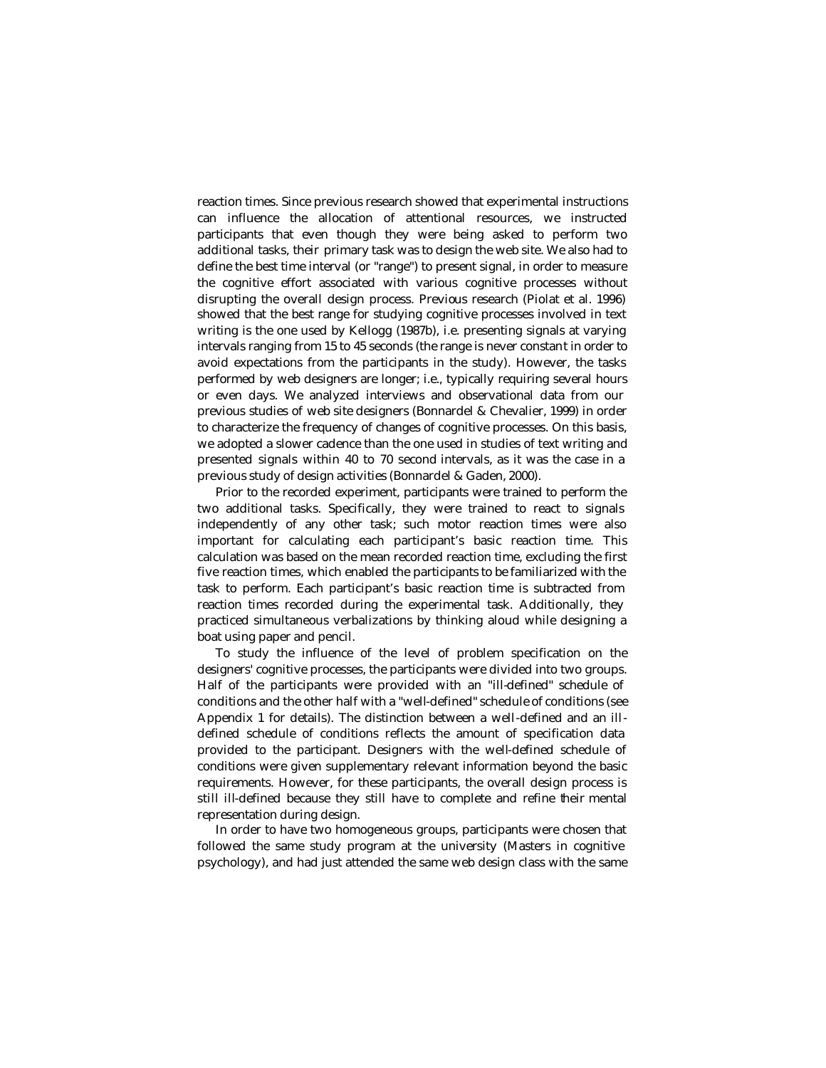reaction times. Since previous research showed that experimental instructions can influence the allocation of attentional resources, we instructed participants that even though they were being asked to perform two additional tasks, their primary task was to design the web site. We also had to define the best time interval (or "range") to present signal, in order to measure the cognitive effort associated with various cognitive processes without disrupting the overall design process. Previous research (Piolat et al. 1996) showed that the best range for studying cognitive processes involved in text writing is the one used by Kellogg (1987b), i.e. presenting signals at varying intervals ranging from 15 to 45 seconds (the range is never constant in order to avoid expectations from the participants in the study). However, the tasks performed by web designers are longer; i.e., typically requiring several hours or even days. We analyzed interviews and observational data from our previous studies of web site designers (Bonnardel & Chevalier, 1999) in order to characterize the frequency of changes of cognitive processes. On this basis, we adopted a slower cadence than the one used in studies of text writing and presented signals within 40 to 70 second intervals, as it was the case in a previous study of design activities (Bonnardel & Gaden, 2000).

Prior to the recorded experiment, participants were trained to perform the two additional tasks. Specifically, they were trained to react to signals independently of any other task; such motor reaction times were also important for calculating each participant's basic reaction time. This calculation was based on the mean recorded reaction time, excluding the first five reaction times, which enabled the participants to be familiarized with the task to perform. Each participant's basic reaction time is subtracted from reaction times recorded during the experimental task. Additionally, they practiced simultaneous verbalizations by thinking aloud while designing a boat using paper and pencil.

To study the influence of the level of problem specification on the designers' cognitive processes, the participants were divided into two groups. Half of the participants were provided with an "ill-defined" schedule of conditions and the other half with a "well-defined" schedule of conditions (see Appendix 1 for details). The distinction between a well-defined and an illdefined schedule of conditions reflects the amount of specification data provided to the participant. Designers with the well-defined schedule of conditions were given supplementary relevant information beyond the basic requirements. However, for these participants, the overall design process is still ill-defined because they still have to complete and refine their mental representation during design.

In order to have two homogeneous groups, participants were chosen that followed the same study program at the university (Masters in cognitive psychology), and had just attended the same web design class with the same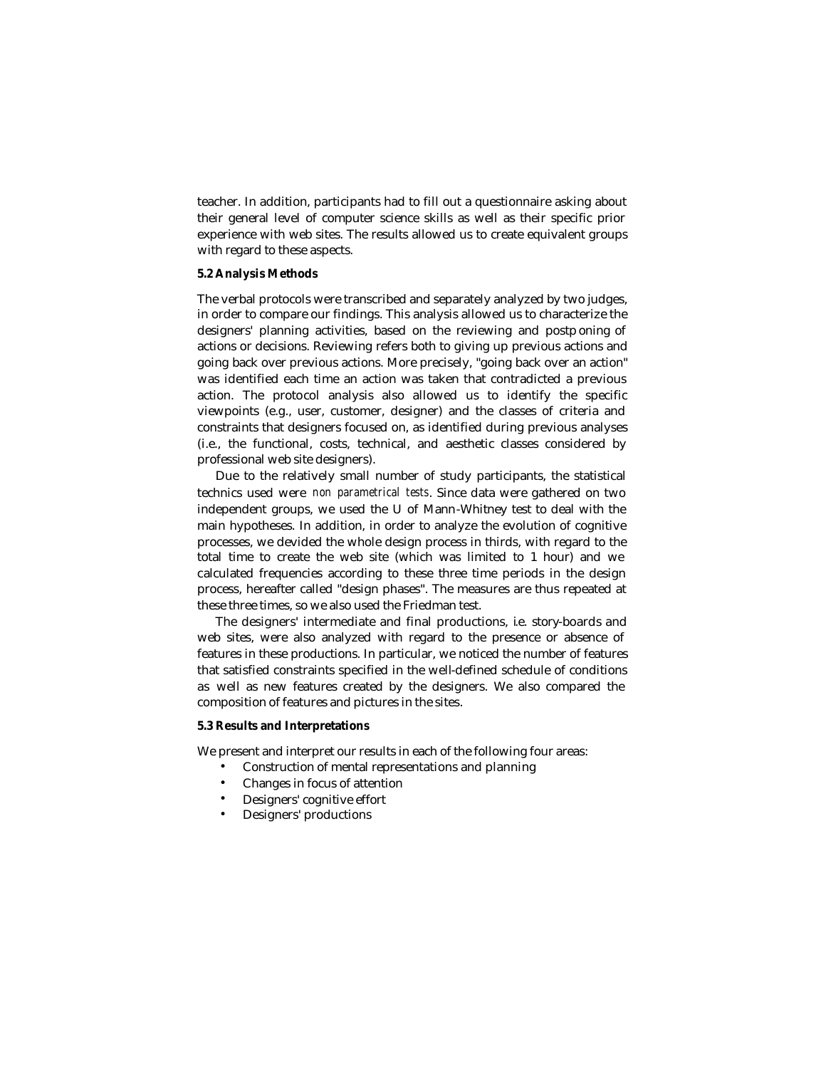teacher. In addition, participants had to fill out a questionnaire asking about their general level of computer science skills as well as their specific prior experience with web sites. The results allowed us to create equivalent groups with regard to these aspects.

### **5.2 Analysis Methods**

The verbal protocols were transcribed and separately analyzed by two judges, in order to compare our findings. This analysis allowed us to characterize the designers' planning activities, based on the reviewing and postp oning of actions or decisions. Reviewing refers both to giving up previous actions and going back over previous actions. More precisely, "going back over an action" was identified each time an action was taken that contradicted a previous action. The protocol analysis also allowed us to identify the specific viewpoints (e.g., user, customer, designer) and the classes of criteria and constraints that designers focused on, as identified during previous analyses (i.e., the functional, costs, technical, and aesthetic classes considered by professional web site designers).

Due to the relatively small number of study participants, the statistical technics used were *non parametrical tests*. Since data were gathered on two independent groups, we used the U of Mann-Whitney test to deal with the main hypotheses. In addition, in order to analyze the evolution of cognitive processes, we devided the whole design process in thirds, with regard to the total time to create the web site (which was limited to 1 hour) and we calculated frequencies according to these three time periods in the design process, hereafter called "design phases". The measures are thus repeated at these three times, so we also used the Friedman test.

The designers' intermediate and final productions, ie. story-boards and web sites, were also analyzed with regard to the presence or absence of features in these productions. In particular, we noticed the number of features that satisfied constraints specified in the well-defined schedule of conditions as well as new features created by the designers. We also compared the composition of features and pictures in the sites.

#### **5.3 Results and Interpretations**

We present and interpret our results in each of the following four areas:

- Construction of mental representations and planning
- Changes in focus of attention
- Designers' cognitive effort
- Designers' productions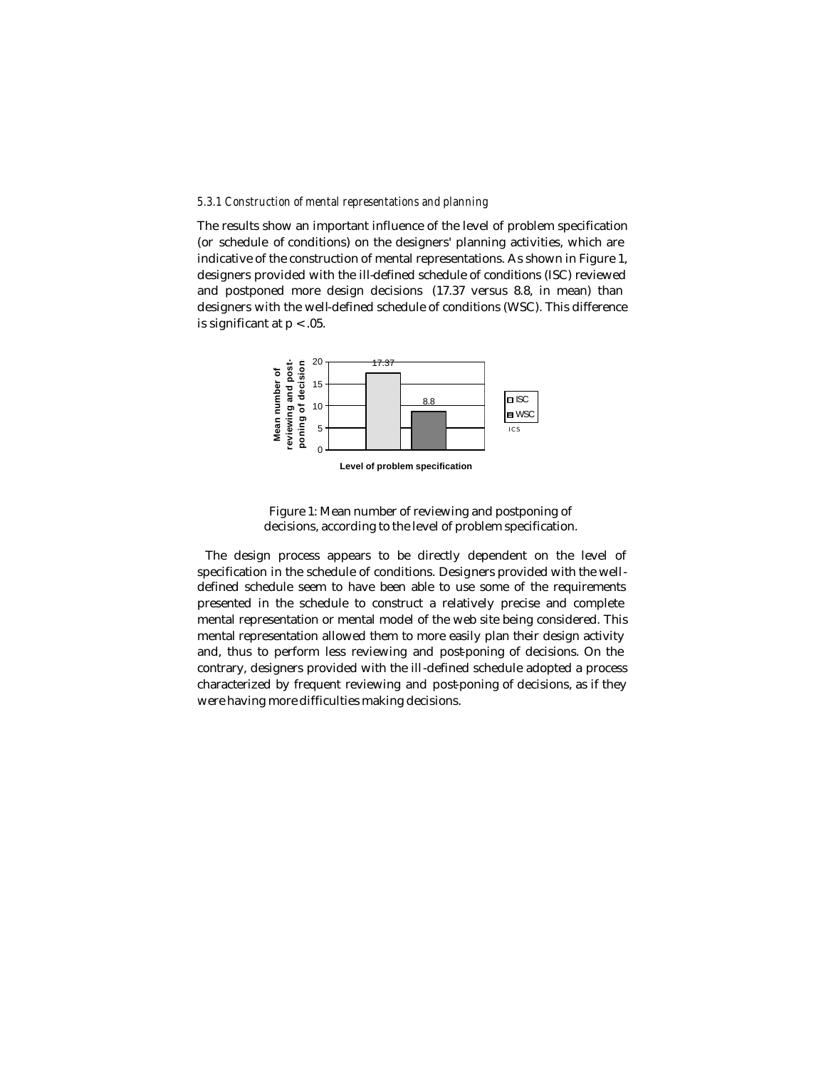#### *5.3.1 Construction of mental representations and planning*

The results show an important influence of the level of problem specification (or schedule of conditions) on the designers' planning activities, which are indicative of the construction of mental representations. As shown in Figure 1, designers provided with the ill-defined schedule of conditions (ISC) reviewed and postponed more design decisions (17.37 versus 8.8, in mean) than designers with the well-defined schedule of conditions (WSC). This difference is significant at  $p < 0.05$ .



**Level of problem specification**

Figure 1: Mean number of reviewing and postponing of decisions, according to the level of problem specification.

The design process appears to be directly dependent on the level of specification in the schedule of conditions. Designers provided with the welldefined schedule seem to have been able to use some of the requirements presented in the schedule to construct a relatively precise and complete mental representation or mental model of the web site being considered. This mental representation allowed them to more easily plan their design activity and, thus to perform less reviewing and post-poning of decisions. On the contrary, designers provided with the ill-defined schedule adopted a process characterized by frequent reviewing and post-poning of decisions, as if they were having more difficulties making decisions.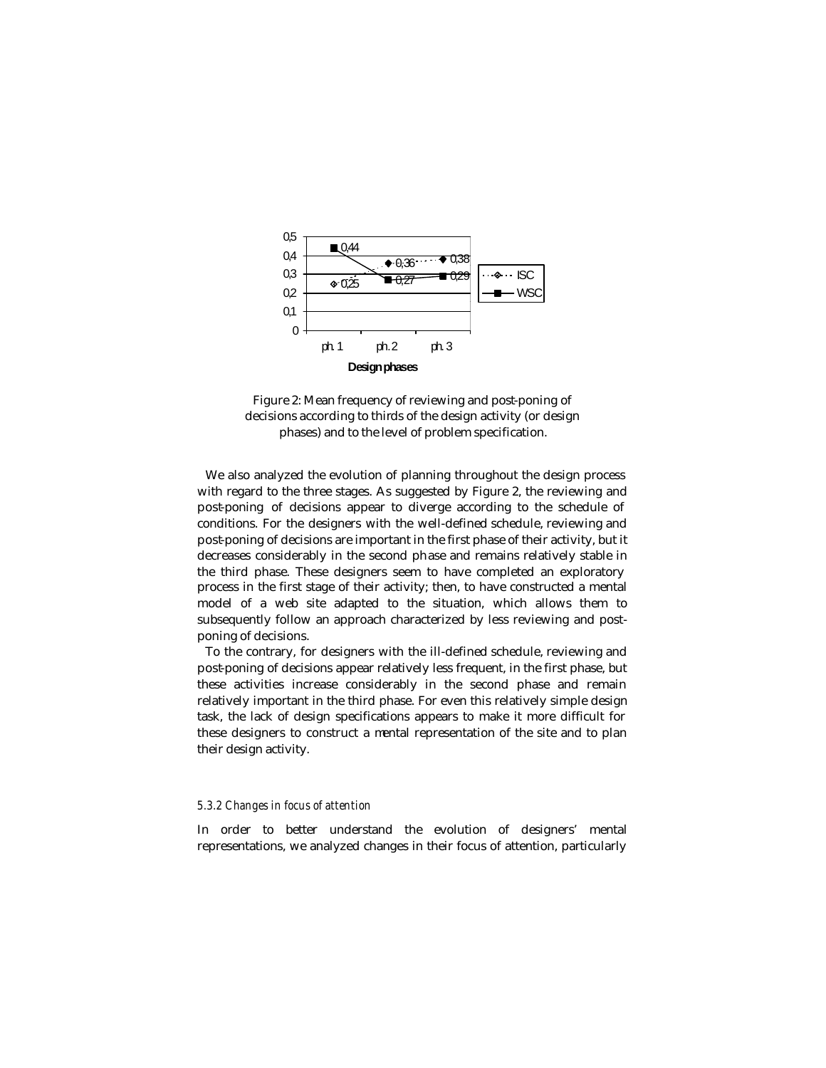

Figure 2: Mean frequency of reviewing and post-poning of decisions according to thirds of the design activity (or design phases) and to the level of problem specification.

We also analyzed the evolution of planning throughout the design process with regard to the three stages. As suggested by Figure 2, the reviewing and post-poning of decisions appear to diverge according to the schedule of conditions. For the designers with the well-defined schedule, reviewing and post-poning of decisions are important in the first phase of their activity, but it decreases considerably in the second phase and remains relatively stable in the third phase. These designers seem to have completed an exploratory process in the first stage of their activity; then, to have constructed a mental model of a web site adapted to the situation, which allows them to subsequently follow an approach characterized by less reviewing and postponing of decisions.

To the contrary, for designers with the ill-defined schedule, reviewing and post-poning of decisions appear relatively less frequent, in the first phase, but these activities increase considerably in the second phase and remain relatively important in the third phase. For even this relatively simple design task, the lack of design specifications appears to make it more difficult for these designers to construct a mental representation of the site and to plan their design activity.

#### *5.3.2 Changes in focus of attention*

In order to better understand the evolution of designers' mental representations, we analyzed changes in their focus of attention, particularly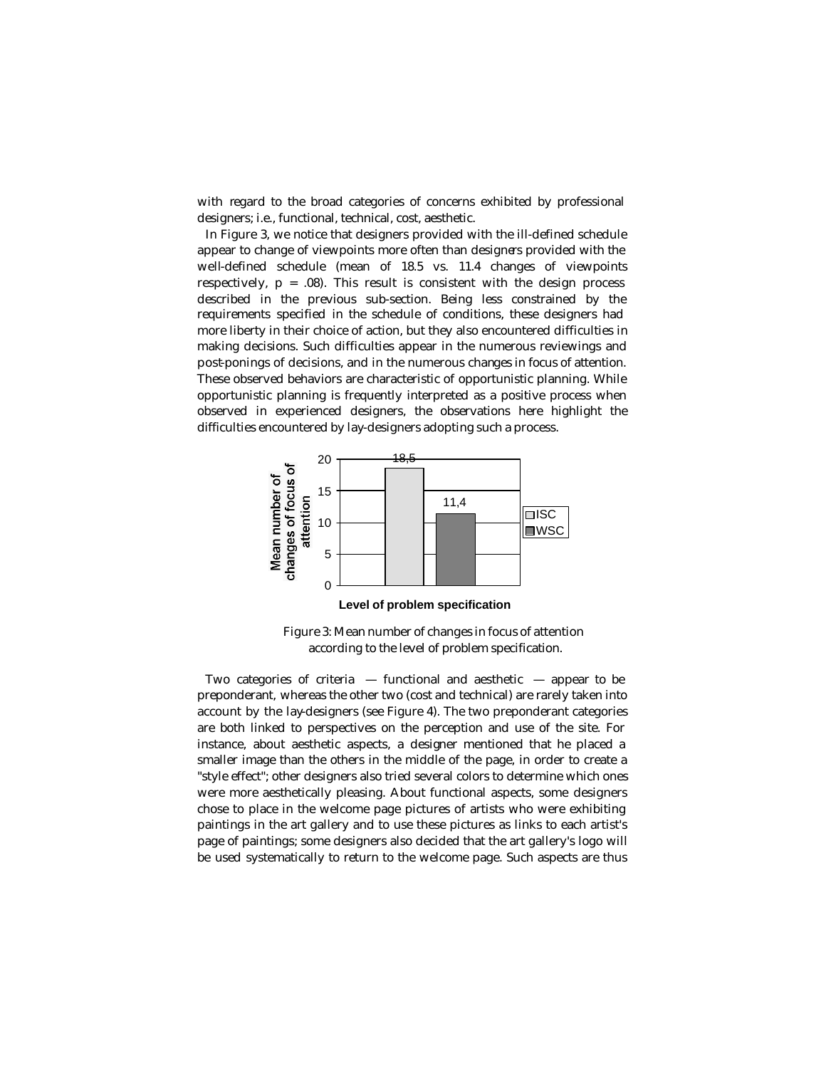with regard to the broad categories of concerns exhibited by professional designers; i.e., functional, technical, cost, aesthetic.

In Figure 3, we notice that designers provided with the ill-defined schedule appear to change of viewpoints more often than designers provided with the well-defined schedule (mean of 18.5 vs. 11.4 changes of viewpoints respectively,  $p = .08$ ). This result is consistent with the design process described in the previous sub-section. Being less constrained by the requirements specified in the schedule of conditions, these designers had more liberty in their choice of action, but they also encountered difficulties in making decisions. Such difficulties appear in the numerous reviewings and post-ponings of decisions, and in the numerous changes in focus of attention. These observed behaviors are characteristic of opportunistic planning. While opportunistic planning is frequently interpreted as a positive process when observed in experienced designers, the observations here highlight the difficulties encountered by lay-designers adopting such a process.



Figure 3: Mean number of changes in focus of attention according to the level of problem specification.

Two categories of criteria  $-$  functional and aesthetic  $-$  appear to be preponderant, whereas the other two (cost and technical) are rarely taken into account by the lay-designers (see Figure 4). The two preponderant categories are both linked to perspectives on the perception and use of the site. For instance, about aesthetic aspects, a designer mentioned that he placed a smaller image than the others in the middle of the page, in order to create a "style effect"; other designers also tried several colors to determine which ones were more aesthetically pleasing. About functional aspects, some designers chose to place in the welcome page pictures of artists who were exhibiting paintings in the art gallery and to use these pictures as links to each artist's page of paintings; some designers also decided that the art gallery's logo will be used systematically to return to the welcome page. Such aspects are thus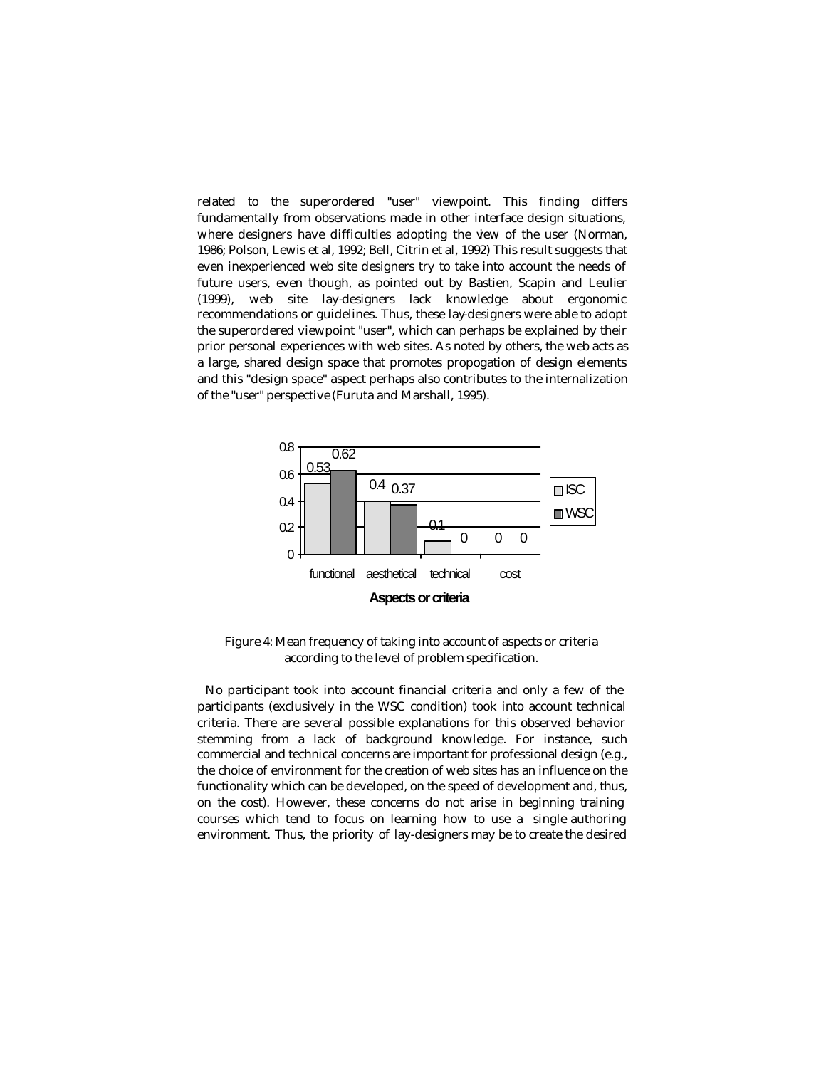related to the superordered "user" viewpoint. This finding differs fundamentally from observations made in other interface design situations, where designers have difficulties adopting the view of the user (Norman, 1986; Polson, Lewis et al, 1992; Bell, Citrin et al, 1992) This result suggests that even inexperienced web site designers try to take into account the needs of future users, even though, as pointed out by Bastien, Scapin and Leulier (1999), web site lay-designers lack knowledge about ergonomic recommendations or guidelines. Thus, these lay-designers were able to adopt the superordered viewpoint "user", which can perhaps be explained by their prior personal experiences with web sites. As noted by others, the web acts as a large, shared design space that promotes propogation of design elements and this "design space" aspect perhaps also contributes to the internalization of the "user" perspective (Furuta and Marshall, 1995).



Figure 4: Mean frequency of taking into account of aspects or criteria according to the level of problem specification.

No participant took into account financial criteria and only a few of the participants (exclusively in the WSC condition) took into account technical criteria. There are several possible explanations for this observed behavior stemming from a lack of background knowledge. For instance, such commercial and technical concerns are important for professional design (e.g., the choice of environment for the creation of web sites has an influence on the functionality which can be developed, on the speed of development and, thus, on the cost). However, these concerns do not arise in beginning training courses which tend to focus on learning how to use a single authoring environment. Thus, the priority of lay-designers may be to create the desired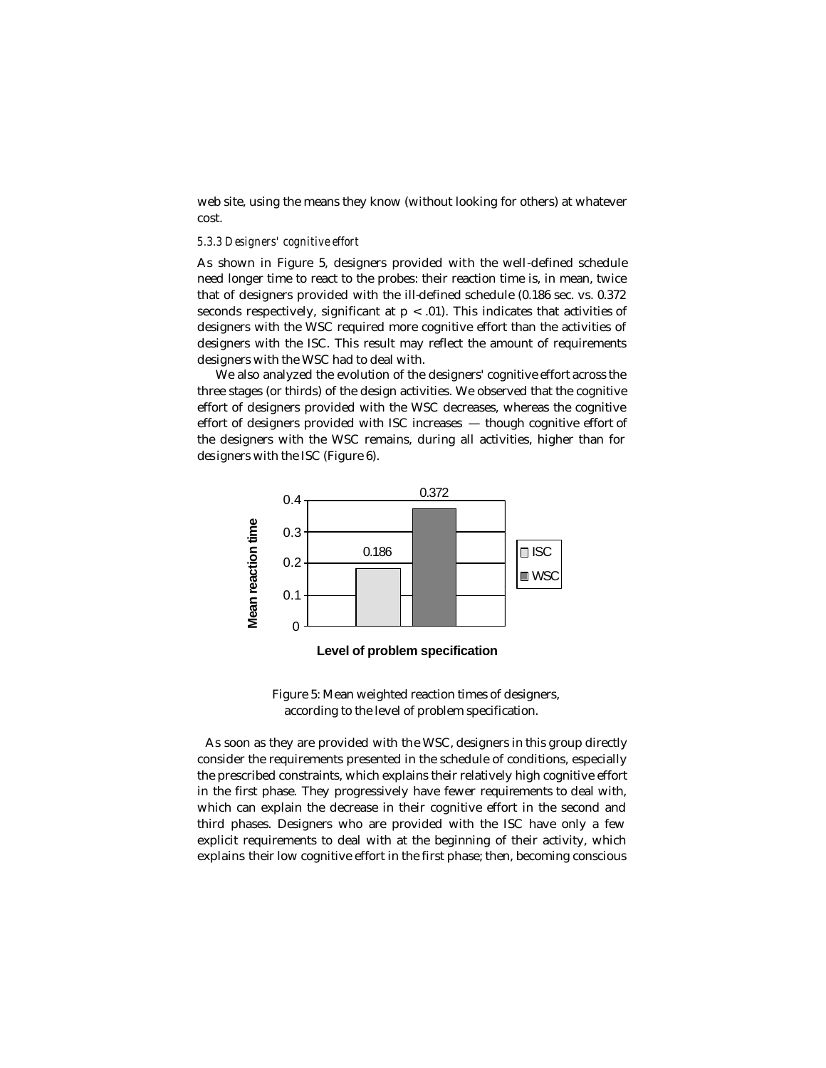web site, using the means they know (without looking for others) at whatever cost.

#### *5.3.3 Designers' cognitive effort*

As shown in Figure 5, designers provided with the well-defined schedule need longer time to react to the probes: their reaction time is, in mean, twice that of designers provided with the ill-defined schedule (0.186 sec. vs. 0.372 seconds respectively, significant at  $p < .01$ ). This indicates that activities of designers with the WSC required more cognitive effort than the activities of designers with the ISC. This result may reflect the amount of requirements designers with the WSC had to deal with.

We also analyzed the evolution of the designers' cognitive effort across the three stages (or thirds) of the design activities. We observed that the cognitive effort of designers provided with the WSC decreases, whereas the cognitive effort of designers provided with ISC increases — though cognitive effort of the designers with the WSC remains, during all activities, higher than for des igners with the ISC (Figure 6).



 **Level of problem specification**

Figure 5: Mean weighted reaction times of designers, according to the level of problem specification.

As soon as they are provided with the WSC, designers in this group directly consider the requirements presented in the schedule of conditions, especially the prescribed constraints, which explains their relatively high cognitive effort in the first phase. They progressively have fewer requirements to deal with, which can explain the decrease in their cognitive effort in the second and third phases. Designers who are provided with the ISC have only a few explicit requirements to deal with at the beginning of their activity, which explains their low cognitive effort in the first phase; then, becoming conscious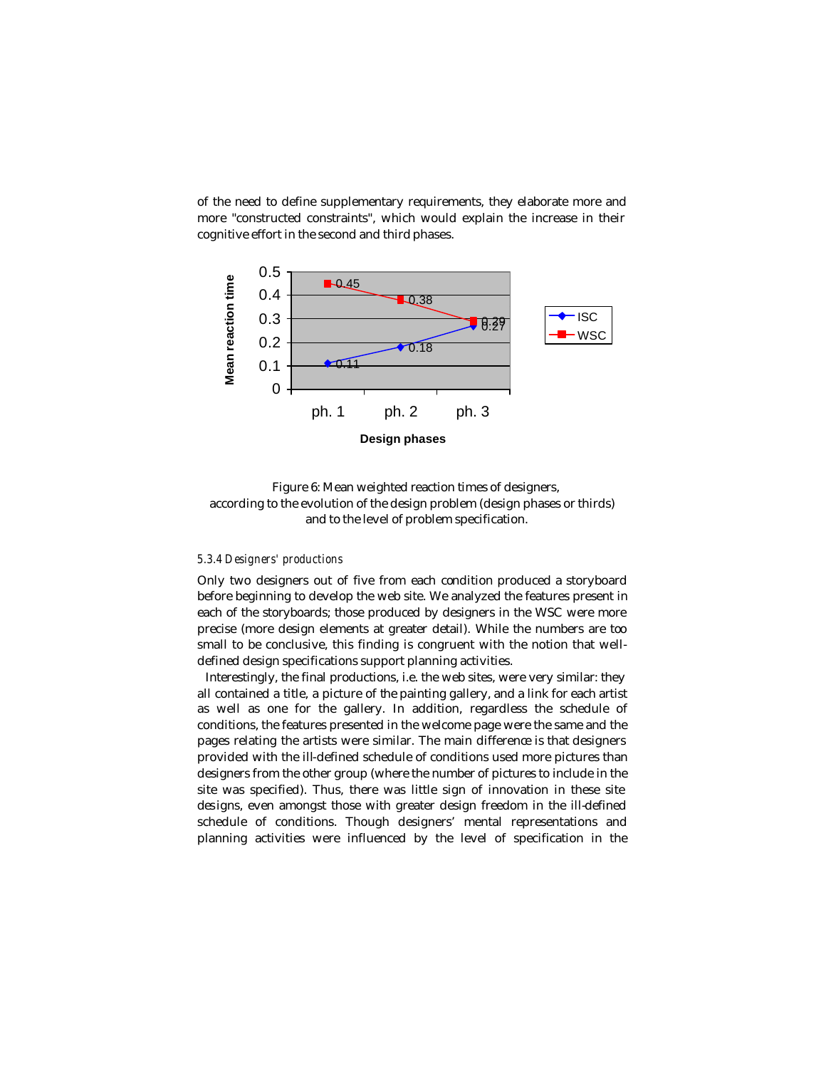of the need to define supplementary requirements, they elaborate more and more "constructed constraints", which would explain the increase in their cognitive effort in the second and third phases.



Figure 6: Mean weighted reaction times of designers, according to the evolution of the design problem (design phases or thirds) and to the level of problem specification.

#### *5.3.4 Designers' productions*

Only two designers out of five from each condition produced a storyboard before beginning to develop the web site. We analyzed the features present in each of the storyboards; those produced by designers in the WSC were more precise (more design elements at greater detail). While the numbers are too small to be conclusive, this finding is congruent with the notion that welldefined design specifications support planning activities.

Interestingly, the final productions, i.e. the web sites, were very similar: they all contained a title, a picture of the painting gallery, and a link for each artist as well as one for the gallery. In addition, regardless the schedule of conditions, the features presented in the welcome page were the same and the pages relating the artists were similar. The main difference is that designers provided with the ill-defined schedule of conditions used more pictures than designers from the other group (where the number of pictures to include in the site was specified). Thus, there was little sign of innovation in these site des igns, even amongst those with greater design freedom in the ill-defined schedule of conditions. Though designers' mental representations and planning activities were influenced by the level of specification in the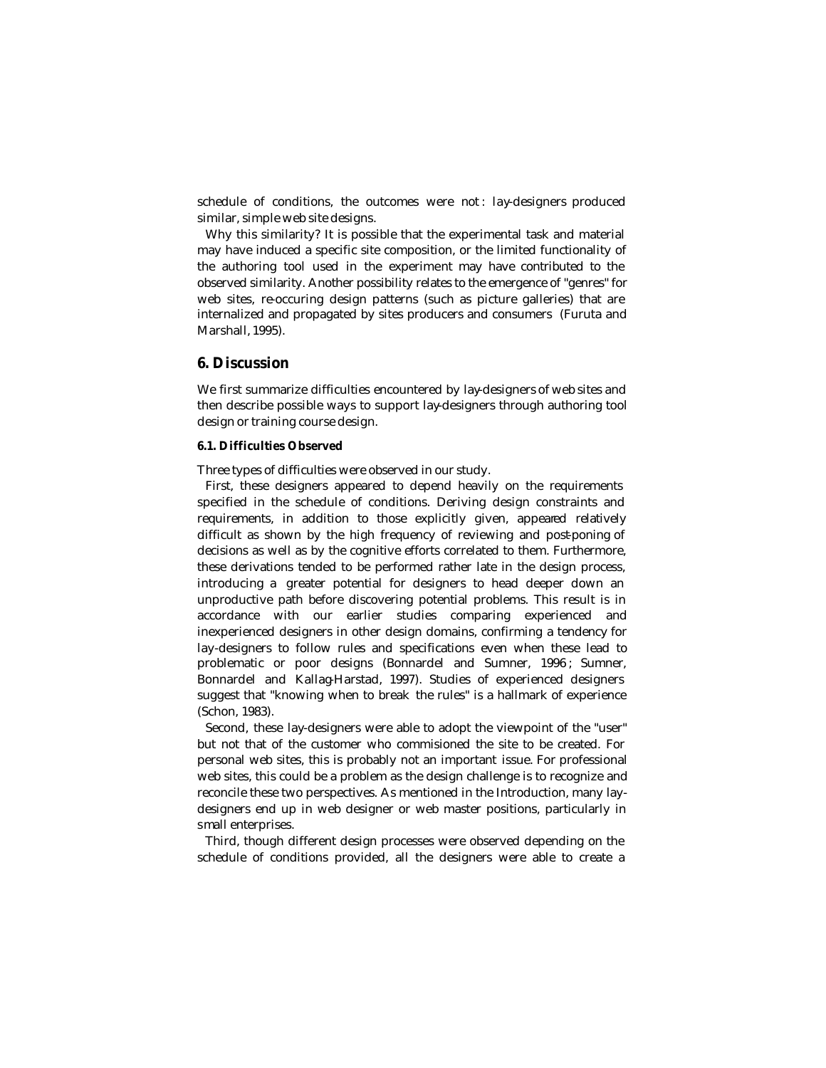schedule of conditions, the outcomes were not : lay-designers produced similar, simple web site designs.

Why this similarity? It is possible that the experimental task and material may have induced a specific site composition, or the limited functionality of the authoring tool used in the experiment may have contributed to the observed similarity. Another possibility relates to the emergence of "genres" for web sites, re-occuring design patterns (such as picture galleries) that are internalized and propagated by sites producers and consumers (Furuta and Marshall, 1995).

# **6. Discussion**

We first summarize difficulties encountered by lay-designers of web sites and then describe possible ways to support lay-designers through authoring tool design or training course design.

### **6.1. Difficulties Observed**

Three types of difficulties were observed in our study.

First, these designers appeared to depend heavily on the requirements specified in the schedule of conditions. Deriving design constraints and requirements, in addition to those explicitly given, appeared relatively difficult as shown by the high frequency of reviewing and post-poning of decisions as well as by the cognitive efforts correlated to them. Furthermore, these derivations tended to be performed rather late in the design process, introducing a greater potential for designers to head deeper down an unproductive path before discovering potential problems. This result is in accordance with our earlier studies comparing experienced and inexperienced designers in other design domains, confirming a tendency for lay-designers to follow rules and specifications even when these lead to problematic or poor designs (Bonnardel and Sumner, 1996 ; Sumner, Bonnardel and Kallag-Harstad, 1997). Studies of experienced designers suggest that "knowing when to break the rules" is a hallmark of experience (Schon, 1983).

Second, these lay-designers were able to adopt the viewpoint of the "user" but not that of the customer who commisioned the site to be created. For personal web sites, this is probably not an important issue. For professional web sites, this could be a problem as the design challenge is to recognize and reconcile these two perspectives. As mentioned in the Introduction, many laydesigners end up in web designer or web master positions, particularly in small enterprises.

Third, though different design processes were observed depending on the schedule of conditions provided, all the designers were able to create a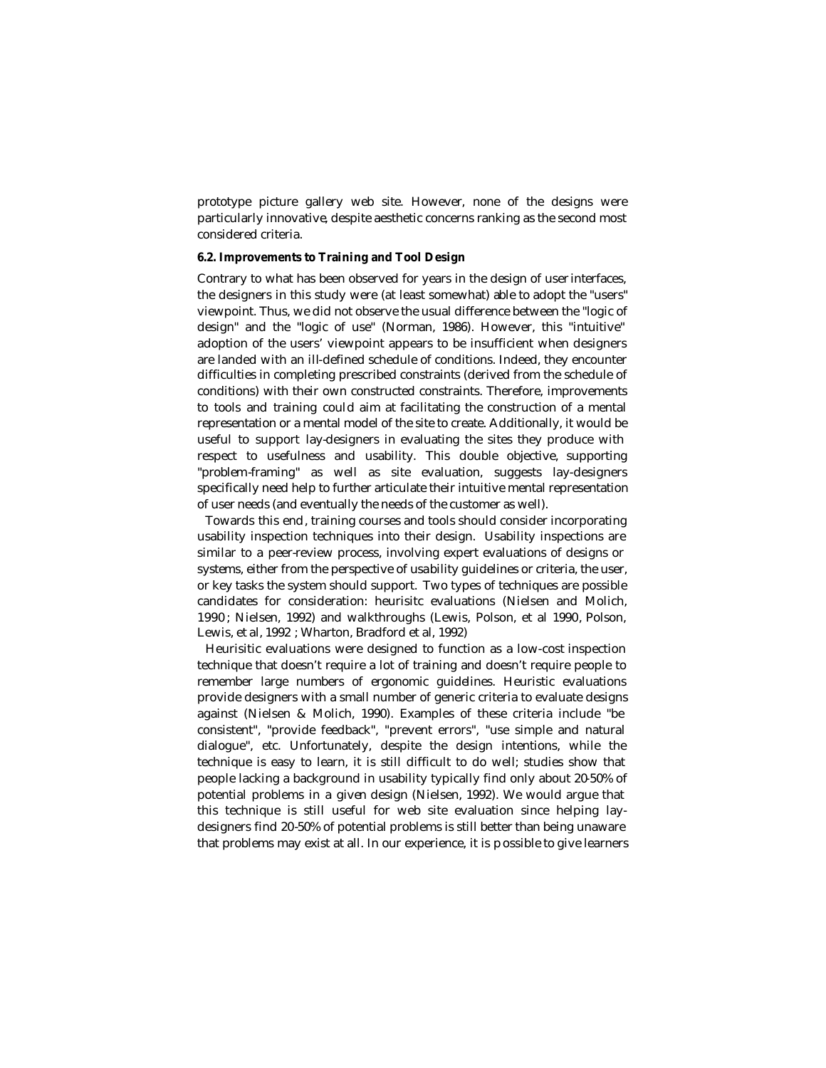prototype picture gallery web site. However, none of the designs were particularly innovative, despite aesthetic concerns ranking as the second most considered criteria.

### **6.2. Improvements to Training and Tool Design**

Contrary to what has been observed for years in the design of user interfaces, the designers in this study were (at least somewhat) able to adopt the "users" viewpoint. Thus, we did not observe the usual difference between the "logic of design" and the "logic of use" (Norman, 1986). However, this "intuitive" adoption of the users' viewpoint appears to be insufficient when designers are landed with an ill-defined schedule of conditions. Indeed, they encounter difficulties in completing prescribed constraints (derived from the schedule of conditions) with their own constructed constraints. Therefore, improvements to tools and training could aim at facilitating the construction of a mental representation or a mental model of the site to create. Additionally, it would be useful to support lay-designers in evaluating the sites they produce with respect to usefulness and usability. This double objective, supporting "problem-framing" as well as site evaluation, suggests lay-designers specifically need help to further articulate their intuitive mental representation of user needs (and eventually the needs of the customer as well).

Towards this end, training courses and tools should consider incorporating usability inspection techniques into their design. Usability inspections are similar to a peer-review process, involving expert evaluations of designs or systems, either from the perspective of usability guidelines or criteria, the user, or key tasks the system should support. Two types of techniques are possible candidates for consideration: heurisitc evaluations (Nielsen and Molich, 1990 ; Nielsen, 1992) and walkthroughs (Lewis, Polson, et al 1990, Polson, Lewis, et al, 1992 ; Wharton, Bradford et al, 1992)

Heurisitic evaluations were designed to function as a low-cost inspection technique that doesn't require a lot of training and doesn't require people to remember large numbers of ergonomic guidelines. Heuristic evaluations provide designers with a small number of generic criteria to evaluate designs against (Nielsen & Molich, 1990). Examples of these criteria include "be consistent", "provide feedback", "prevent errors", "use simple and natural dialogue", etc. Unfortunately, despite the design intentions, while the technique is easy to learn, it is still difficult to do well; studies show that people lacking a background in usability typically find only about 20-50% of potential problems in a given design (Nielsen, 1992). We would argue that this technique is still useful for web site evaluation since helping laydesigners find 20-50% of potential problems is still better than being unaware that problems may exist at all. In our experience, it is p ossible to give learners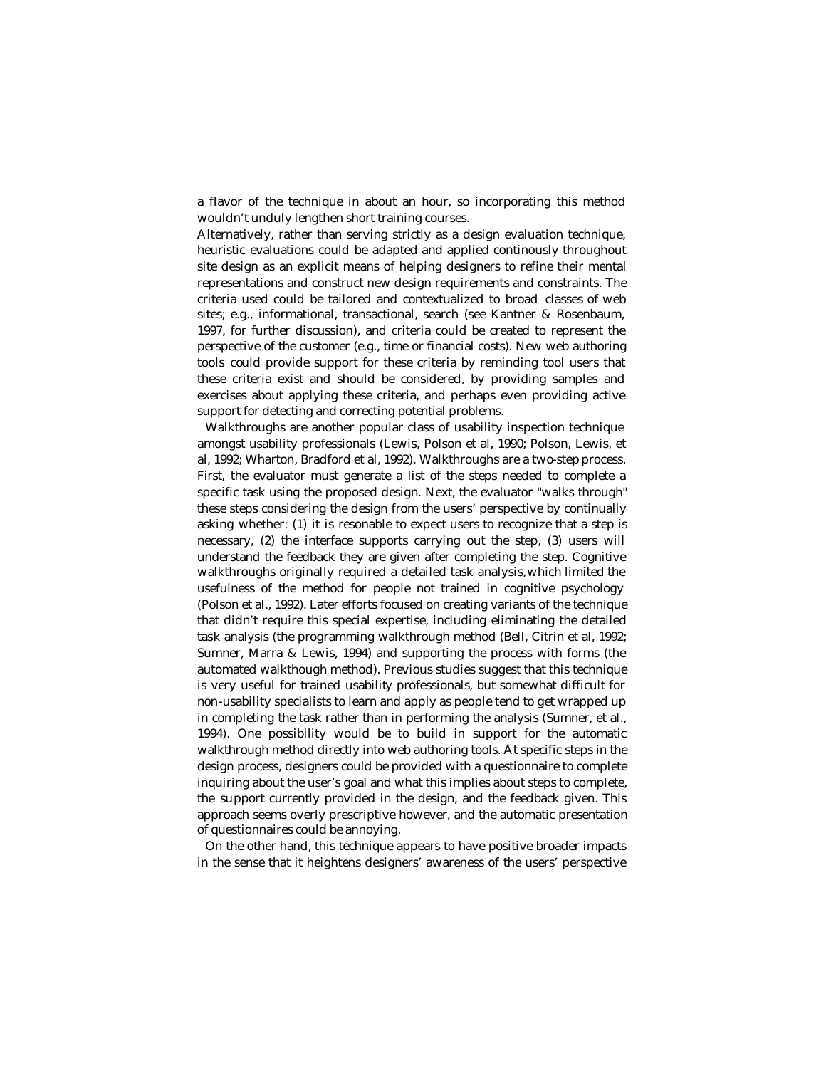a flavor of the technique in about an hour, so incorporating this method wouldn't unduly lengthen short training courses.

Alternatively, rather than serving strictly as a design evaluation technique, heuristic evaluations could be adapted and applied continously throughout site design as an explicit means of helping designers to refine their mental representations and construct new design requirements and constraints. The criteria used could be tailored and contextualized to broad classes of web sites; e.g., informational, transactional, search (see Kantner & Rosenbaum, 1997, for further discussion), and criteria could be created to represent the perspective of the customer (e.g., time or financial costs). New web authoring tools could provide support for these criteria by reminding tool users that these criteria exist and should be considered, by providing samples and exercises about applying these criteria, and perhaps even providing active support for detecting and correcting potential problems.

Walkthroughs are another popular class of usability inspection technique amongst usability professionals (Lewis, Polson et al, 1990; Polson, Lewis, et al, 1992; Wharton, Bradford et al, 1992). Walkthroughs are a two-step process. First, the evaluator must generate a list of the steps needed to complete a specific task using the proposed design. Next, the evaluator "walks through" these steps considering the design from the users' perspective by continually asking whether: (1) it is resonable to expect users to recognize that a step is necessary, (2) the interface supports carrying out the step, (3) users will understand the feedback they are given after completing the step. Cognitive walkthroughs originally required a detailed task analysis, which limited the usefulness of the method for people not trained in cognitive psychology (Polson et al., 1992). Later efforts focused on creating variants of the technique that didn't require this special expertise, including eliminating the detailed task analysis (the programming walkthrough method (Bell, Citrin et al, 1992; Sumner, Marra & Lewis, 1994) and supporting the process with forms (the automated walkthough method). Previous studies suggest that this technique is very useful for trained usability professionals, but somewhat difficult for non-usability specialists to learn and apply as people tend to get wrapped up in completing the task rather than in performing the analysis (Sumner, et al., 1994). One possibility would be to build in support for the automatic walkthrough method directly into web authoring tools. At specific steps in the design process, designers could be provided with a questionnaire to complete inquiring about the user's goal and what this implies about steps to complete, the support currently provided in the design, and the feedback given. This approach seems overly prescriptive however, and the automatic presentation of questionnaires could be annoying.

On the other hand, this technique appears to have positive broader impacts in the sense that it heightens designers' awareness of the users' perspective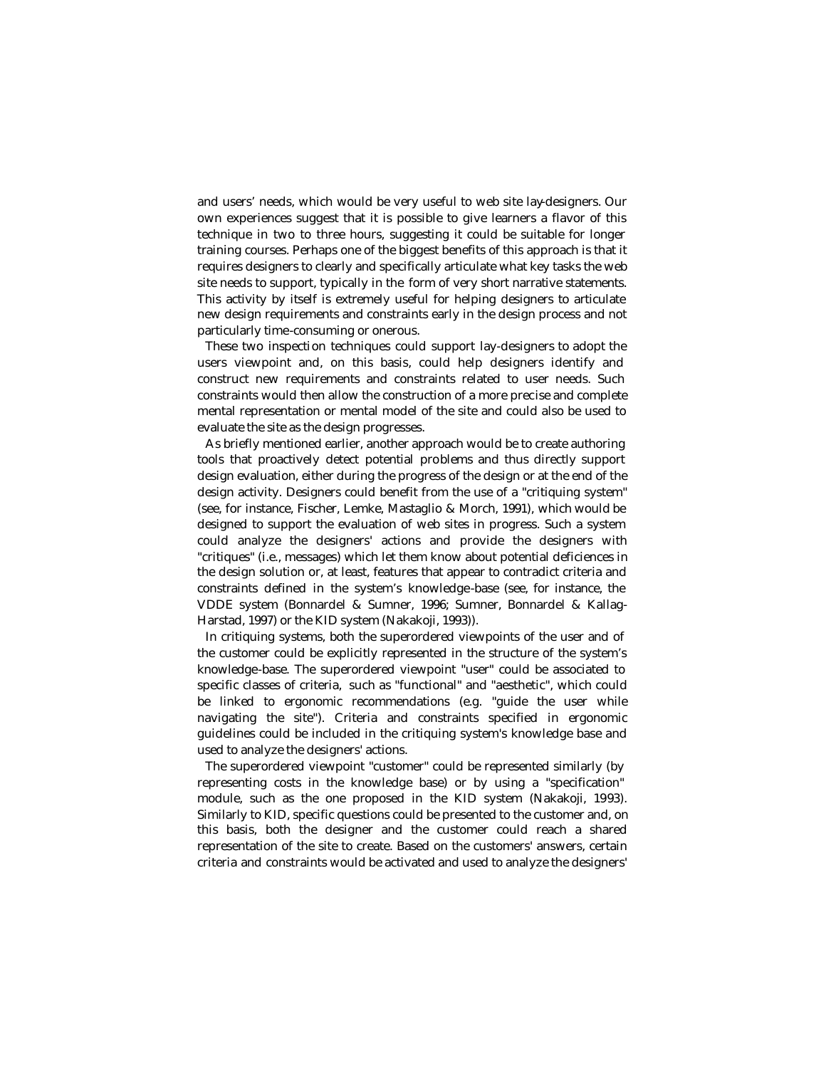and users' needs, which would be very useful to web site lay-designers. Our own experiences suggest that it is possible to give learners a flavor of this technique in two to three hours, suggesting it could be suitable for longer training courses. Perhaps one of the biggest benefits of this approach is that it requires designers to clearly and specifically articulate what key tasks the web site needs to support, typically in the form of very short narrative statements. This activity by itself is extremely useful for helping designers to articulate new design requirements and constraints early in the design process and not particularly time-consuming or onerous.

These two inspection techniques could support lay-designers to adopt the users viewpoint and, on this basis, could help designers identify and construct new requirements and constraints related to user needs. Such constraints would then allow the construction of a more precise and complete mental representation or mental model of the site and could also be used to evaluate the site as the design progresses.

As briefly mentioned earlier, another approach would be to create authoring tools that proactively detect potential problems and thus directly support design evaluation, either during the progress of the design or at the end of the design activity. Designers could benefit from the use of a "critiquing system" (see, for instance, Fischer, Lemke, Mastaglio & Morch, 1991), which would be designed to support the evaluation of web sites in progress. Such a system could analyze the designers' actions and provide the designers with "critiques" (i.e., messages) which let them know about potential deficiences in the design solution or, at least, features that appear to contradict criteria and constraints defined in the system's knowledge-base (see, for instance, the VDDE system (Bonnardel & Sumner, 1996; Sumner, Bonnardel & Kallag-Harstad, 1997) or the KID system (Nakakoji, 1993)).

In critiquing systems, both the superordered viewpoints of the user and of the customer could be explicitly represented in the structure of the system's knowledge-base. The superordered viewpoint "user" could be associated to specific classes of criteria, such as "functional" and "aesthetic", which could be linked to ergonomic recommendations (e.g. "guide the user while navigating the site"). Criteria and constraints specified in ergonomic guidelines could be included in the critiquing system's knowledge base and used to analyze the designers' actions.

The superordered viewpoint "customer" could be represented similarly (by representing costs in the knowledge base) or by using a "specification" module, such as the one proposed in the KID system (Nakakoji, 1993). Similarly to KID, specific questions could be presented to the customer and, on this basis, both the designer and the customer could reach a shared representation of the site to create. Based on the customers' answers, certain criteria and constraints would be activated and used to analyze the designers'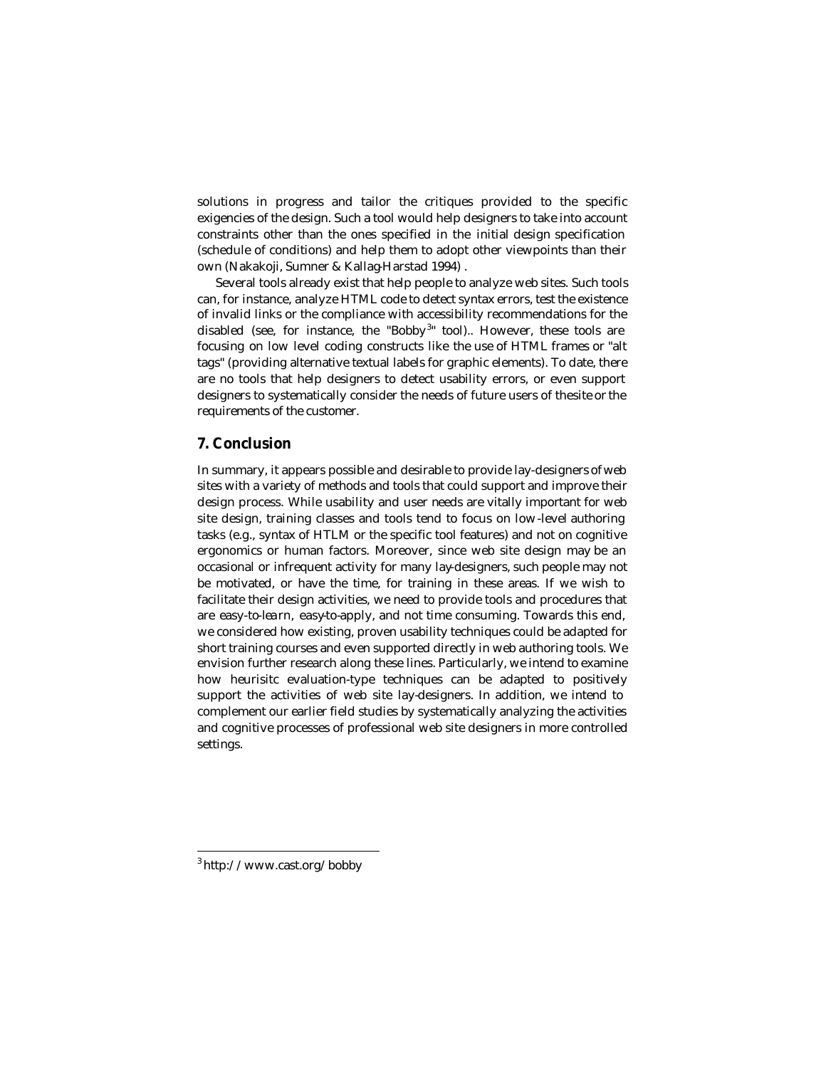solutions in progress and tailor the critiques provided to the specific exigencies of the design. Such a tool would help designers to take into account constraints other than the ones specified in the initial design specification (schedule of conditions) and help them to adopt other viewpoints than their own (Nakakoji, Sumner & Kallag-Harstad 1994) .

Several tools already exist that help people to analyze web sites. Such tools can, for instance, analyze HTML code to detect syntax errors, test the existence of invalid links or the compliance with accessibility recommendations for the disabled (see, for instance, the "Bobby<sup>3</sup>" tool).. However, these tools are focusing on low level coding constructs like the use of HTML frames or "alt tags" (providing alternative textual labels for graphic elements). To date, there are no tools that help designers to detect usability errors, or even support designers to systematically consider the needs of future users of the site or the requirements of the customer.

# **7. Conclusion**

In summary, it appears possible and desirable to provide lay-designers of web sites with a variety of methods and tools that could support and improve their design process. While usability and user needs are vitally important for web site design, training classes and tools tend to focus on low-level authoring tasks (e.g., syntax of HTLM or the specific tool features) and not on cognitive ergonomics or human factors. Moreover, since web site design may be an occasional or infrequent activity for many lay-designers, such people may not be motivated, or have the time, for training in these areas. If we wish to facilitate their design activities, we need to provide tools and procedures that are easy-to-lea rn, easy-to-apply, and not time consuming. Towards this end, we considered how existing, proven usability techniques could be adapted for short training courses and even supported directly in web authoring tools. We envision further research along these lines. Particularly, we intend to examine how heurisitc evaluation-type techniques can be adapted to positively support the activities of web site lay-designers. In addition, we intend to complement our earlier field studies by systematically analyzing the activities and cognitive processes of professional web site designers in more controlled settings.

 $\overline{a}$ 

<sup>3</sup> http://www.cast.org/bobby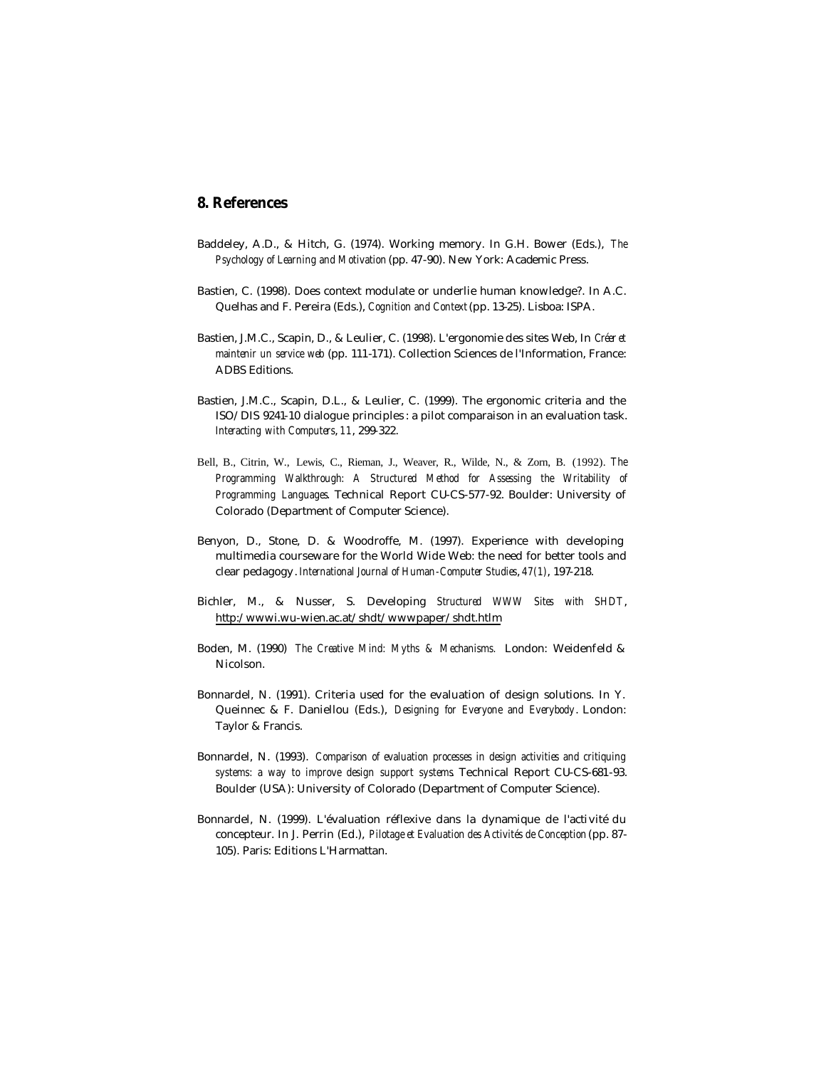# **8. References**

- Baddeley, A.D., & Hitch, G. (1974). Working memory. In G.H. Bower (Eds.), *The Psychology of Learning and Motivation* (pp. 47-90). New York: Academic Press.
- Bastien, C. (1998). Does context modulate or underlie human knowledge?. In A.C. Quelhas and F. Pereira (Eds.), *Cognition and Context* (pp. 13-25). Lisboa: ISPA.
- Bastien, J.M.C., Scapin, D., & Leulier, C. (1998). L'ergonomie des sites Web, In *Créer et maintenir un service web* (pp. 111-171). Collection Sciences de l'Information, France: ADBS Editions.
- Bastien, J.M.C., Scapin, D.L., & Leulier, C. (1999). The ergonomic criteria and the ISO/DIS 9241-10 dialogue principles : a pilot comparaison in an evaluation task. *Interacting with Computers*, *11*, 299-322.
- Bell, B., Citrin, W., Lewis, C., Rieman, J., Weaver, R., Wilde, N., & Zorn, B. (1992). *The Programming Walkthrough: A Structured Method for Assessing the Writability of Programming Languages*. Technical Report CU-CS-577-92. Boulder: University of Colorado (Department of Computer Science).
- Benyon, D., Stone, D. & Woodroffe, M. (1997). Experience with developing multimedia courseware for the World Wide Web: the need for better tools and clear pedagogy. *International Journal of Human-Computer Studies*, *47(1)*, 197-218.
- Bichler, M., & Nusser, S. Developing *Structured WWW Sites with SHDT*, http:/wwwi.wu-wien.ac.at/shdt/wwwpaper/shdt.htlm
- Boden, M. (1990) *The Creative Mind: Myths & Mechanisms.* London: Weidenfeld & Nicolson.
- Bonnardel, N. (1991). Criteria used for the evaluation of design solutions. In Y. Queinnec & F. Daniellou (Eds.), *Designing for Everyone and Everybody*. London: Taylor & Francis.
- Bonnardel, N. (1993). *Comparison of evaluation processes in design activities and critiquing systems: a way to improve design support systems*. Technical Report CU-CS-681-93. Boulder (USA): University of Colorado (Department of Computer Science).
- Bonnardel, N. (1999). L'évaluation réflexive dans la dynamique de l'activité du concepteur. In J. Perrin (Ed.), *Pilotage et Evaluation des Activités de Conception* (pp. 87- 105). Paris: Editions L'Harmattan.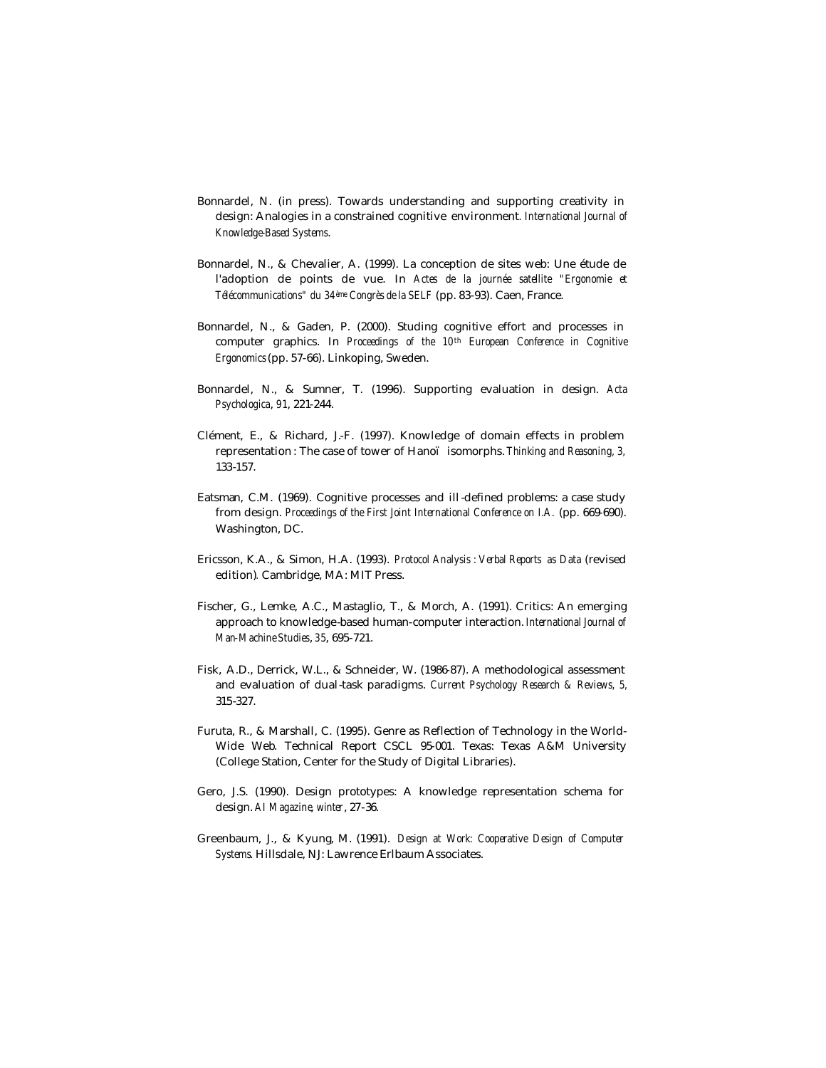- Bonnardel, N. (in press). Towards understanding and supporting creativity in design: Analogies in a constrained cognitive environment*. International Journal of Knowledge-Based Systems*.
- Bonnardel, N., & Chevalier, A. (1999). La conception de sites web: Une étude de l'adoption de points de vue. In *Actes de la journée satellite "Ergonomie et Télécommunications" du 34ème Congrès de la SELF* (pp. 83-93). Caen, France.
- Bonnardel, N., & Gaden, P. (2000). Studing cognitive effort and processes in computer graphics. In *Proceedings of the 10th European Conference in Cognitive Ergonomics* (pp. 57-66). Linkoping, Sweden.
- Bonnardel, N., & Sumner, T. (1996). Supporting evaluation in design. *Acta Psychologica*, *91*, 221-244.
- Clément, E., & Richard, J.-F. (1997). Knowledge of domain effects in problem representation : The case of tower of Hanoï isomorphs. *Thinking and Reasoning, 3,* 133-157.
- Eatsman, C.M. (1969). Cognitive processes and ill -defined problems: a case study from design. *Proceedings of the First Joint International Conference on I.A.* (pp. 669-690). Washington, DC.
- Ericsson, K.A., & Simon, H.A. (1993). *Protocol Analysis : Verbal Reports as Data* (revised edition)*.* Cambridge, MA: MIT Press.
- Fischer, G., Lemke, A.C., Mastaglio, T., & Morch, A. (1991). Critics: An emerging approach to knowledge-based human-computer interaction. *International Journal of Man-Machine Studies*, *35*, 695-721.
- Fisk, A.D., Derrick, W.L., & Schneider, W. (1986-87). A methodological assessment and evaluation of dual-task paradigms. *Current Psychology Research & Reviews, 5,* 315-327.
- Furuta, R., & Marshall, C. (1995). Genre as Reflection of Technology in the World-Wide Web. Technical Report CSCL 95-001. Texas: Texas A&M University (College Station, Center for the Study of Digital Libraries).
- Gero, J.S. (1990). Design prototypes: A knowledge representation schema for design. *AI Magazine*, *winter*, 27-36.
- Greenbaum, J., & Kyung, M. (1991). *Design at Work: Cooperative Design of Computer Systems*. Hillsdale, NJ: Lawrence Erlbaum Associates.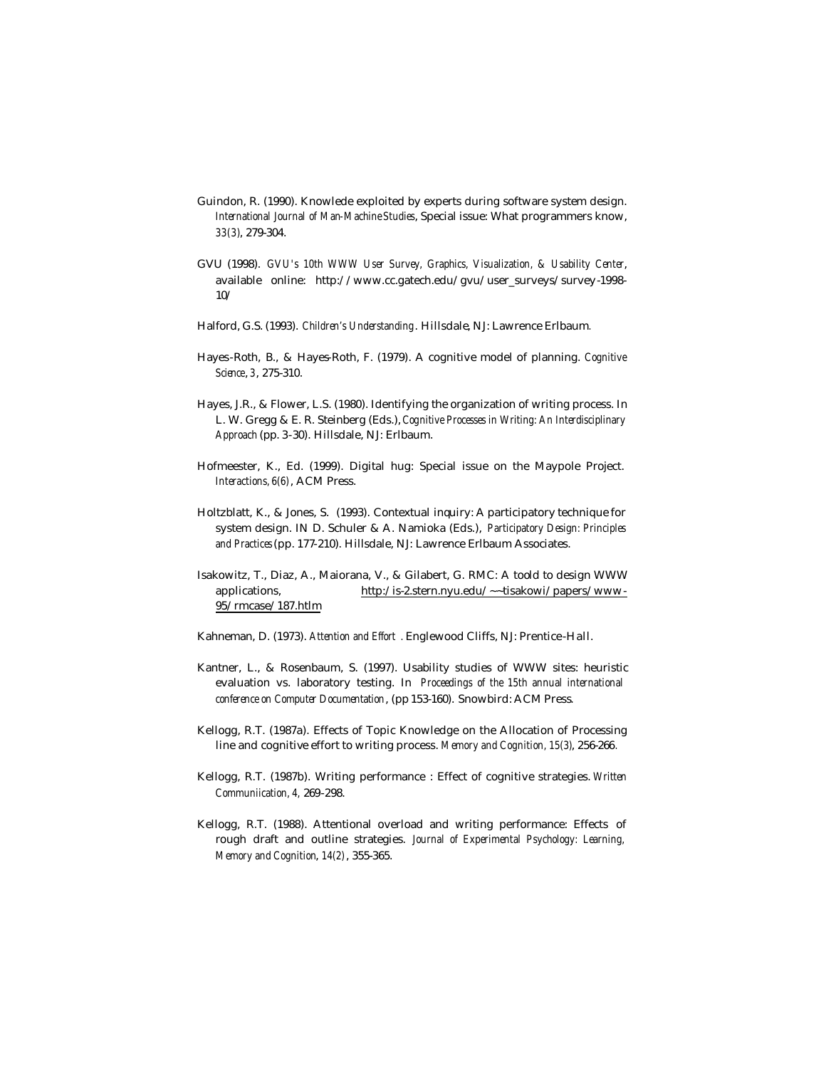- Guindon, R. (1990). Knowlede exploited by experts during software system design. *International Journal of Man-Machine Studies*, Special issue: What programmers know, *33(3)*, 279-304.
- GVU (1998). *GVU's 10th WWW User Survey, Graphics, Visualization, & Usability Center*, available online: http://www.cc.gatech.edu/gvu/user\_surveys/survey-1998- 10/
- Halford, G.S. (1993). *Children's Understanding*. Hillsdale, NJ: Lawrence Erlbaum*.*
- Hayes-Roth, B., & Hayes-Roth, F. (1979). A cognitive model of planning. *Cognitive Science*, *3*, 275-310.
- Hayes, J.R., & Flower, L.S. (1980). Identifying the organization of writing process. In L. W. Gregg & E. R. Steinberg (Eds.), *Cognitive Processes in Writing: An Interdisciplinary Approach* (pp. 3-30). Hillsdale, NJ: Erlbaum.
- Hofmeester, K., Ed. (1999). Digital hug: Special issue on the Maypole Project. *Interactions, 6(6)*, ACM Press.
- Holtzblatt, K., & Jones, S. (1993). Contextual inquiry: A participatory technique for system design. IN D. Schuler & A. Namioka (Eds.), *Participatory Design: Principles and Practices* (pp. 177-210). Hillsdale, NJ: Lawrence Erlbaum Associates.
- Isakowitz, T., Diaz, A., Maiorana, V., & Gilabert, G. RMC: A toold to design WWW applications, http:/is-2.stern.nyu.edu/~~tisakowi/papers/www-95/rmcase/187.htlm
- Kahneman, D. (1973). *Attention and Effort .* Englewood Cliffs, NJ: Prentice-Hall.
- Kantner, L., & Rosenbaum, S. (1997). Usability studies of WWW sites: heuristic evaluation vs. laboratory testing. In *Proceedings of the 15th annual international conference on Computer Documentation*, (pp 153-160). Snowbird: ACM Press.
- Kellogg, R.T. (1987a). Effects of Topic Knowledge on the Allocation of Processing line and cognitive effort to writing process. *Memory and Cognition, 15(3)*, 256-266*.*
- Kellogg, R.T. (1987b). Writing performance : Effect of cognitive strategies. *Written Communiication, 4,* 269-298.
- Kellogg, R.T. (1988). Attentional overload and writing performance: Effects of rough draft and outline strategies. *Journal of Experimental Psychology: Learning, Memory and Cognition*, *14(2)*, 355-365.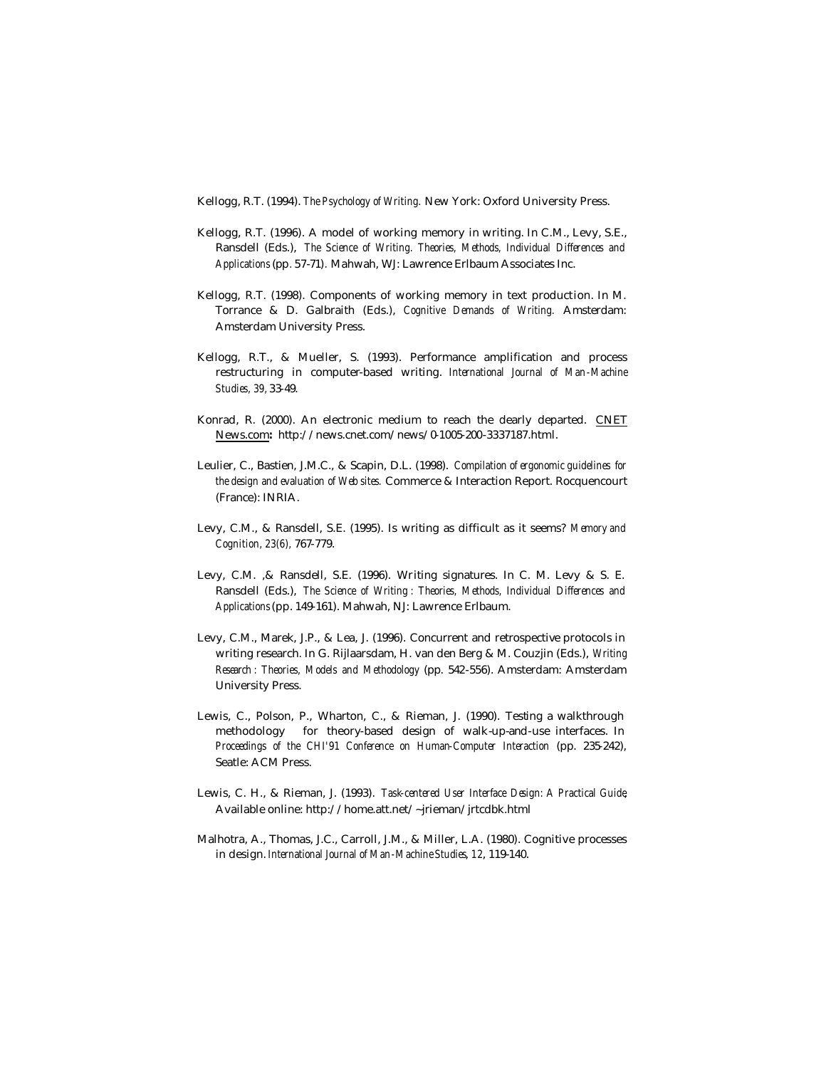Kellogg, R.T. (1994). *The Psychology of Writing.* New York: Oxford University Press.

- Kellogg, R.T. (1996). A model of working memory in writing. In C.M., Levy, S.E., Ransdell (Eds.), *The Science of Writing. Theories, Methods, Individual Differences and Applications* (pp*.* 57-71)*.* Mahwah, WJ: Lawrence Erlbaum Associates Inc.
- Kellogg, R.T. (1998). Components of working memory in text production. In M. Torrance & D. Galbraith (Eds.), *Cognitive Demands of Writing.* Amsterdam: Amsterdam University Press.
- Kellogg, R.T., & Mueller, S. (1993). Performance amplification and process restructuring in computer-based writing. *International Journal of Man-Machine Studies, 39,* 33-49.
- Konrad, R. (2000). An electronic medium to reach the dearly departed. CNET News.com**:** http://news.cnet.com/news/0-1005-200-3337187.html.
- Leulier, C., Bastien, J.M.C., & Scapin, D.L. (1998). *Compilation of ergonomic guidelines for the design and evaluation of Web sites.* Commerce & Interaction Report. Rocquencourt (France): INRIA.
- Levy, C.M., & Ransdell, S.E. (1995). Is writing as difficult as it seems? *Memory and Cognition, 23(6),* 767-779.
- Levy, C.M. ,& Ransdell, S.E. (1996). Writing signatures. In C. M. Levy & S. E. Ransdell (Eds.), *The Science of Writing : Theories, Methods, Individual Differences and Applications* (pp. 149-161). Mahwah, NJ: Lawrence Erlbaum.
- Levy, C.M., Marek, J.P., & Lea, J. (1996). Concurrent and retrospective protocols in writing research. In G. Rijlaarsdam, H. van den Berg & M. Couzjin (Eds.), *Writing Research : Theories, Models and Methodology* (pp. 542-556). Amsterdam: Amsterdam University Press.
- Lewis, C., Polson, P., Wharton, C., & Rieman, J. (1990). Testing a walkthrough methodology for theory-based design of walk-up-and-use interfaces. In *Proceedings of the CHI'91 Conference on Human-Computer Interaction* (pp. 235-242), Seatle: ACM Press.
- Lewis, C. H., & Rieman, J. (1993). *Task-centered User Interface Design: A Practical Guide*, Available online: http://home.att.net/~jrieman/jrtcdbk.html
- Malhotra, A., Thomas, J.C., Carroll, J.M., & Miller, L.A. (1980). Cognitive processes in design. *International Journal of Man-Machine Studies*, *12*, 119-140.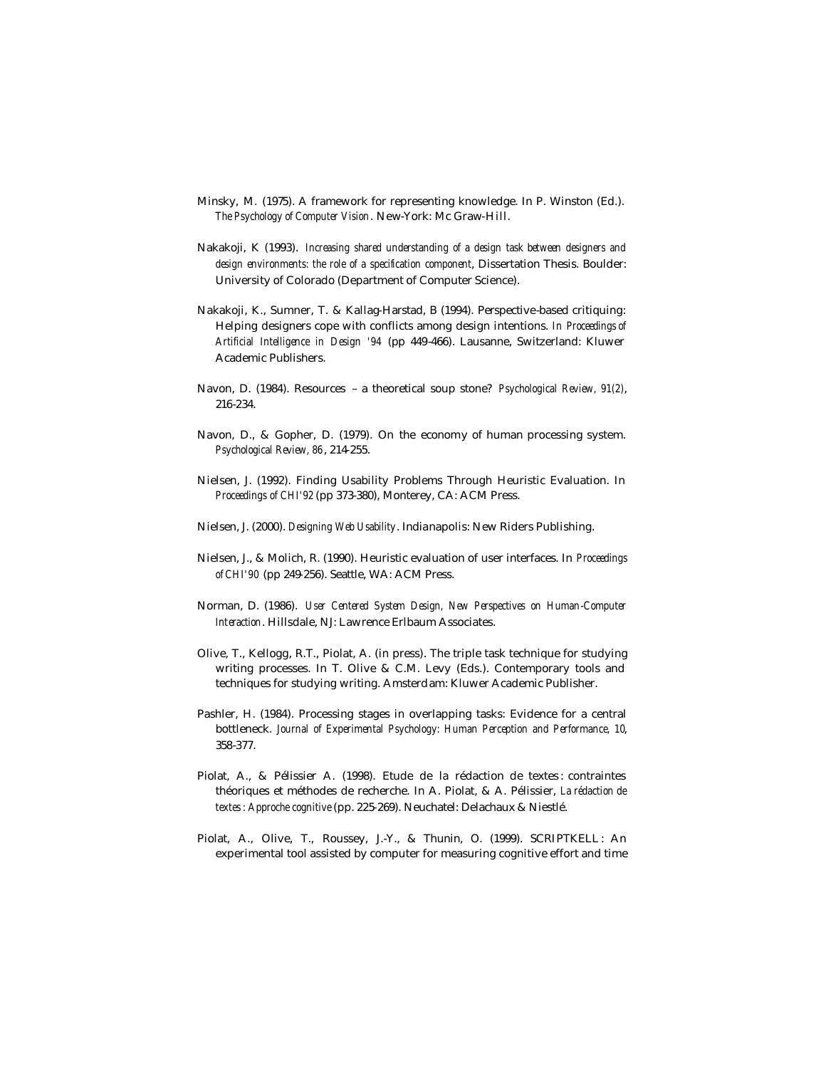- Minsky, M. (1975). A framework for representing knowledge. In P. Winston (Ed.). *The Psychology of Computer Vision*. New-York: Mc Graw-Hill.
- Nakakoji, K (1993). *Increasing shared understanding of a design task between designers and design environments: the role of a specification component*, Dissertation Thesis. Boulder: University of Colorado (Department of Computer Science).
- Nakakoji, K., Sumner, T. & Kallag-Harstad, B (1994). Perspective-based critiquing: Helping designers cope with conflicts among design intentions. *In Proceedings of Artificial Intelligence in Design '94* (pp 449-466). Lausanne, Switzerland: Kluwer Academic Publishers.
- Navon, D. (1984). Resources a theoretical soup stone? *Psychological Review, 91(2)*, 216-234.
- Navon, D., & Gopher, D. (1979). On the economy of human processing system. *Psychological Review, 86*, 214-255.
- Nielsen, J. (1992). Finding Usability Problems Through Heuristic Evaluation. In *Proceedings of CHI'92* (pp 373-380), Monterey, CA: ACM Press.
- Nielsen, J. (2000). *Designing Web Usability*. Indianapolis: New Riders Publishing.
- Nielsen, J., & Molich, R. (1990). Heuristic evaluation of user interfaces. In *Proceedings of CHI'90* (pp 249-256). Seattle, WA: ACM Press.
- Norman, D. (1986). *User Centered System Design, New Perspectives on Human-Computer Interaction*. Hillsdale, NJ: Lawrence Erlbaum Associates.
- Olive, T., Kellogg, R.T., Piolat, A. (in press). The triple task technique for studying writing processes. In T. Olive & C.M. Levy (Eds.). Contemporary tools and techniques for studying writing. Amsterdam: Kluwer Academic Publisher.
- Pashler, H. (1984). Processing stages in overlapping tasks: Evidence for a central bottleneck. *Journal of Experimental Psychology: Human Perception and Performance, 10*, 358-377.
- Piolat, A., & Pélissier A. (1998). Etude de la rédaction de textes : contraintes théoriques et méthodes de recherche. In A. Piolat, & A. Pélissier, *La rédaction de textes: Approche cognitive* (pp. 225-269). Neuchatel: Delachaux & Niestlé.
- Piolat, A., Olive, T., Roussey, J.-Y., & Thunin, O. (1999). SCRIPTKELL: An experimental tool assisted by computer for measuring cognitive effort and time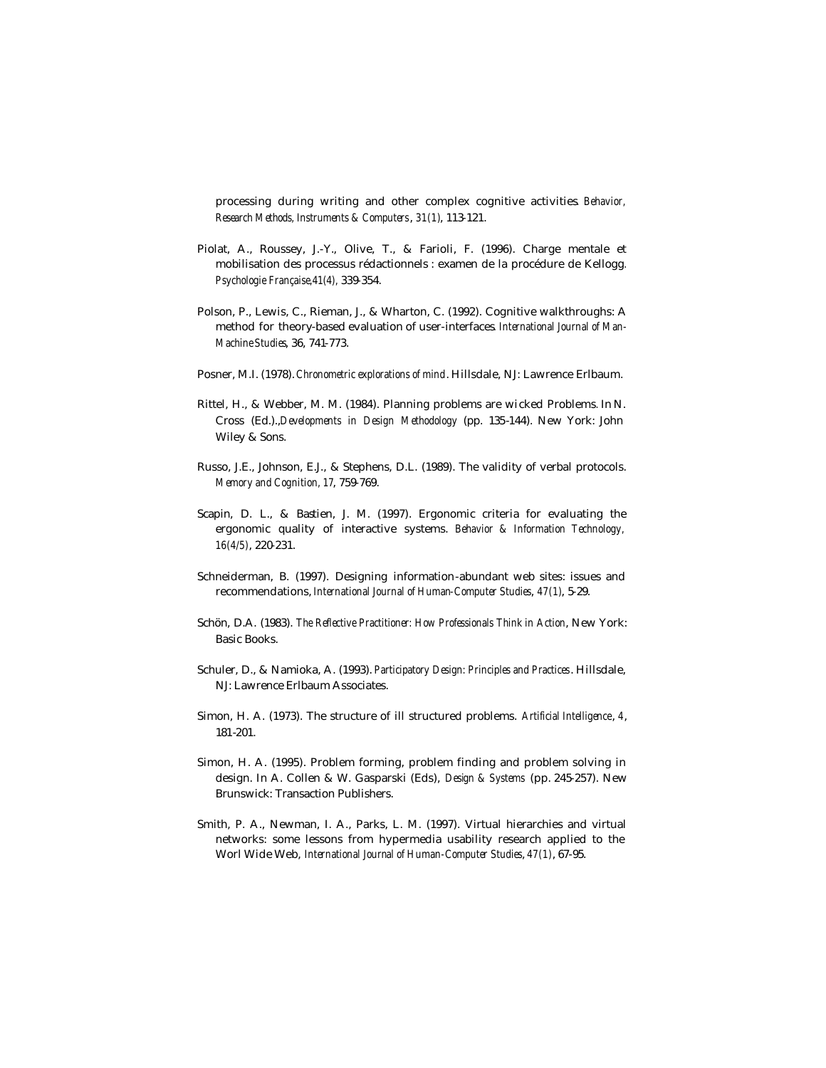processing during writing and other complex cognitive activities*. Behavior, Research Methods, Instruments & Computers*, *31(1)*, 113-121.

- Piolat, A., Roussey, J.-Y., Olive, T., & Farioli, F. (1996). Charge mentale et mobilisation des processus rédactionnels : examen de la procédure de Kellogg*. Psychologie Française,41(4),* 339-354.
- Polson, P., Lewis, C., Rieman, J., & Wharton, C. (1992). Cognitive walkthroughs: A method for theory-based evaluation of user-interfaces*. International Journal of Man-Machine Studies*, 36, 741-773.
- Posner, M.I. (1978). *Chronometric explorations of mind*. Hillsdale, NJ: Lawrence Erlbaum.
- Rittel, H., & Webber, M. M. (1984). Planning problems are wi cked Problems*.* In N. Cross (Ed.).,*Developments in Design Methodology* (pp. 135-144). New York: John Wiley & Sons.
- Russo, J.E., Johnson, E.J., & Stephens, D.L. (1989). The validity of verbal protocols. *Memory and Cognition, 17*, 759-769.
- Scapin, D. L., & Bastien, J. M. (1997). Ergonomic criteria for evaluating the ergonomic quality of interactive systems. *Behavior & Information Technology, 16(4/5)*, 220-231.
- Schneiderman, B. (1997). Designing information-abundant web sites: issues and recommendations, *International Journal of Human-Computer Studies*, *47(1)*, 5-29.
- Schön, D.A. (1983). *The Reflective Practitioner: How Professionals Think in Action*, New York: Basic Books.
- Schuler, D., & Namioka, A. (1993). *Participatory Design: Principles and Practices*. Hillsdale, NJ: Lawrence Erlbaum Associates.
- Simon, H. A. (1973). The structure of ill structured problems. *Artificial Intelligence*, *4*, 181-201.
- Simon, H. A. (1995). Problem forming, problem finding and problem solving in design. In A. Collen & W. Gasparski (Eds), *Design & Systems* (pp. 245-257). New Brunswick: Transaction Publishers.
- Smith, P. A., Newman, I. A., Parks, L. M. (1997). Virtual hierarchies and virtual networks: some lessons from hypermedia usability research applied to the Worl Wide Web, *International Journal of Human-Computer Studies*, *47(1)*, 67-95.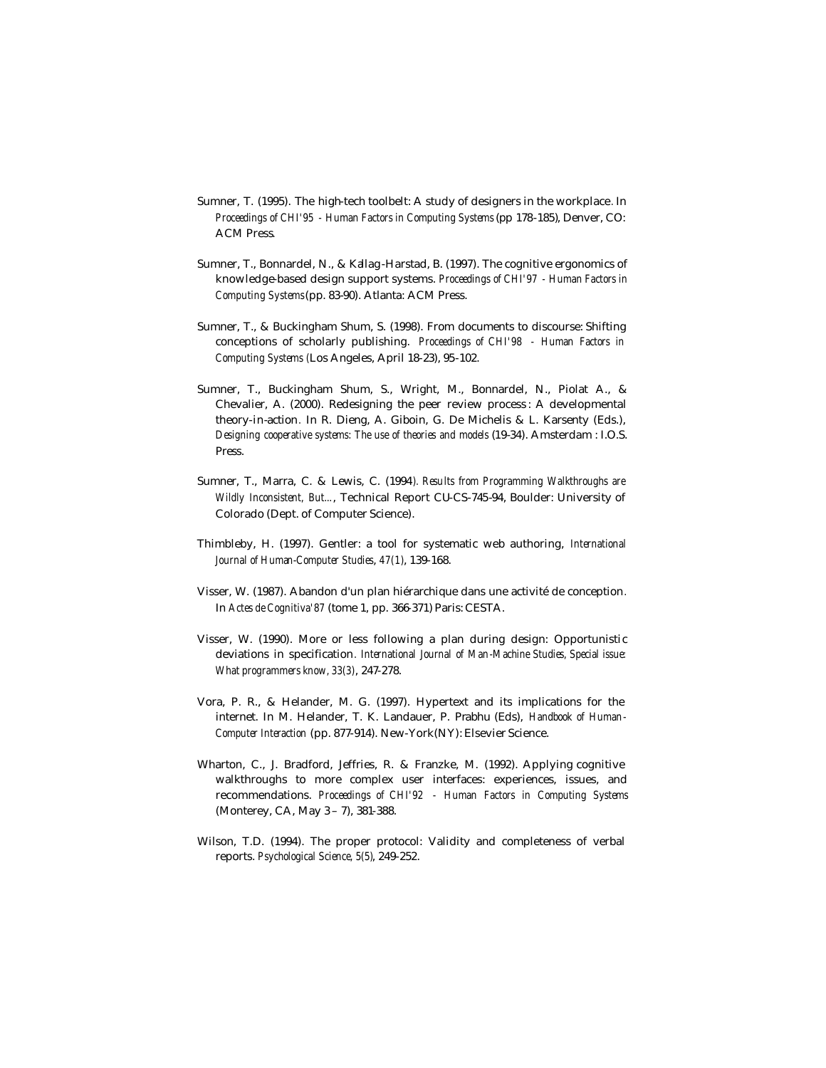- Sumner, T. (1995). The high-tech toolbelt: A study of designers in the workplace*.* In *Proceedings of CHI'95 - Human Factors in Computing Systems* (pp 178-185), Denver, CO: ACM Press.
- Sumner, T., Bonnardel, N., & Kallag-Harstad, B. (1997). The cognitive ergonomics of knowledge-based design support systems. *Proceedings of CHI'97 - Human Factors in Computing Systems* (pp. 83-90). Atlanta: ACM Press.
- Sumner, T., & Buckingham Shum, S. (1998). From documents to discourse: Shifting conceptions of scholarly publishing. *Proceedings of CHI'98 - Human Factors in Computing Systems (*Los Angeles, April 18-23), 95-102.
- Sumner, T., Buckingham Shum, S., Wright, M., Bonnardel, N., Piolat A., & Chevalier, A. (2000). Redesigning the peer review process : A developmental theory-in-action*.* In R. Dieng, A. Giboin, G. De Michelis & L. Karsenty (Eds.), *Designing cooperative systems: The use of theories and models* (19-34). Amsterdam : I.O.S. Press.
- Sumner, T., Marra, C. & Lewis, C. (1994*). Results from Programming Walkthroughs are Wildly Inconsistent, But...*, Technical Report CU-CS-745-94, Boulder: University of Colorado (Dept. of Computer Science).
- Thimbleby, H. (1997). Gentler: a tool for systematic web authoring, *International Journal of Human-Computer Studies*, *47(1)*, 139-168.
- Visser, W. (1987). Abandon d'un plan hiérarchique dans une activité de conception*.*  In *Actes de Cognitiva'87* (tome 1, pp. 366-371) Paris: CESTA.
- Visser, W. (1990). More or less following a plan during design: Opportunistic deviations in specification*. International Journal of Man-Machine Studies, Special issue: What programmers know, 33(3)*, 247-278.
- Vora, P. R., & Helander, M. G. (1997). Hypertext and its implications for the internet. In M. Helander, T. K. Landauer, P. Prabhu (Eds), *Handbook of Human-Computer Interaction* (pp. 877-914). New-York(NY): Elsevier Science.
- Wharton, C., J. Bradford, Jeffries, R. & Franzke, M. (1992). Applying cognitive walkthroughs to more complex user interfaces: experiences, issues, and recommendations. *Proceedings of CHI'92 - Human Factors in Computing Systems* (Monterey, CA, May 3 – 7), 381-388.
- Wilson, T.D. (1994). The proper protocol: Validity and completeness of verbal reports. *Psychological Science, 5(5)*, 249-252.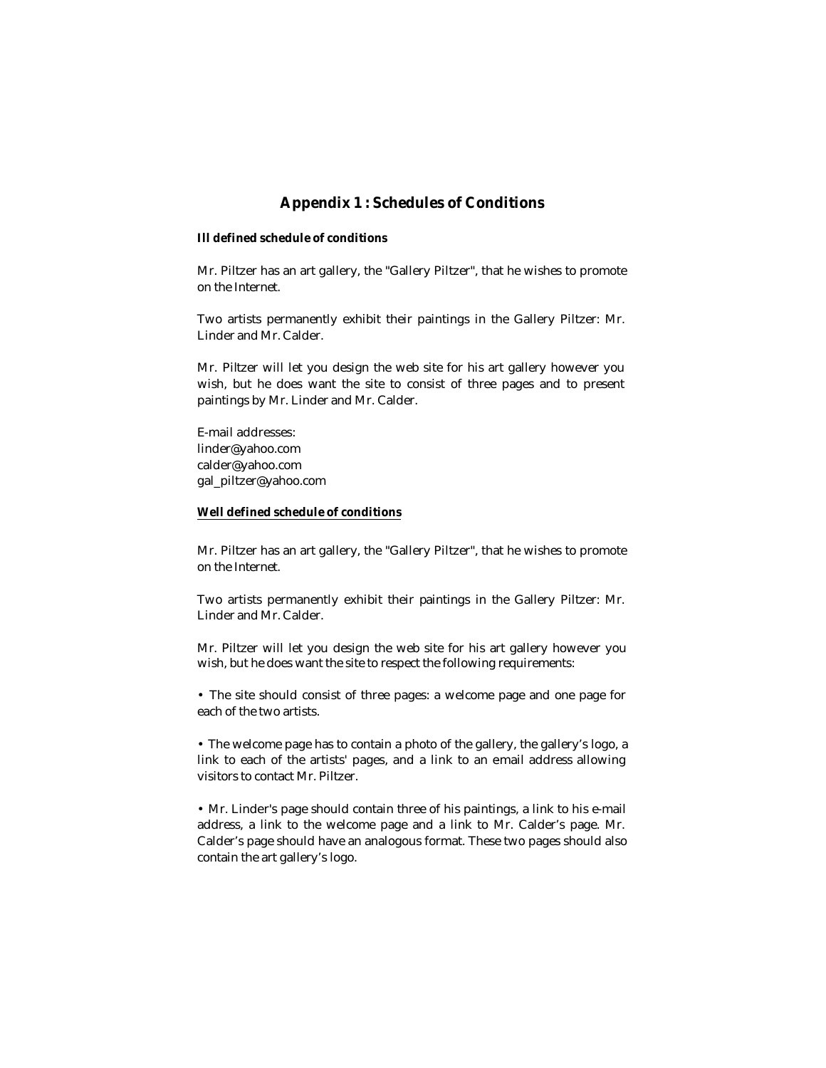# **Appendix 1 : Schedules of Conditions**

### **Ill defined schedule of conditions**

Mr. Piltzer has an art gallery, the "Gallery Piltzer", that he wishes to promote on the Internet.

Two artists permanently exhibit their paintings in the Gallery Piltzer: Mr. Linder and Mr. Calder.

Mr. Piltzer will let you design the web site for his art gallery however you wish, but he does want the site to consist of three pages and to present paintings by Mr. Linder and Mr. Calder.

E-mail addresses: linder@yahoo.com calder@yahoo.com gal\_piltzer@yahoo.com

### **Well defined schedule of conditions**

Mr. Piltzer has an art gallery, the "Gallery Piltzer", that he wishes to promote on the Internet.

Two artists permanently exhibit their paintings in the Gallery Piltzer: Mr. Linder and Mr. Calder.

Mr. Piltzer will let you design the web site for his art gallery however you wish, but he does want the site to respect the following requirements:

• The site should consist of three pages: a welcome page and one page for each of the two artists.

• The welcome page has to contain a photo of the gallery, the gallery's logo, a link to each of the artists' pages, and a link to an email address allowing visitors to contact Mr. Piltzer.

• Mr. Linder's page should contain three of his paintings, a link to his e-mail address, a link to the welcome page and a link to Mr. Calder's page. Mr. Calder's page should have an analogous format. These two pages should also contain the art gallery's logo.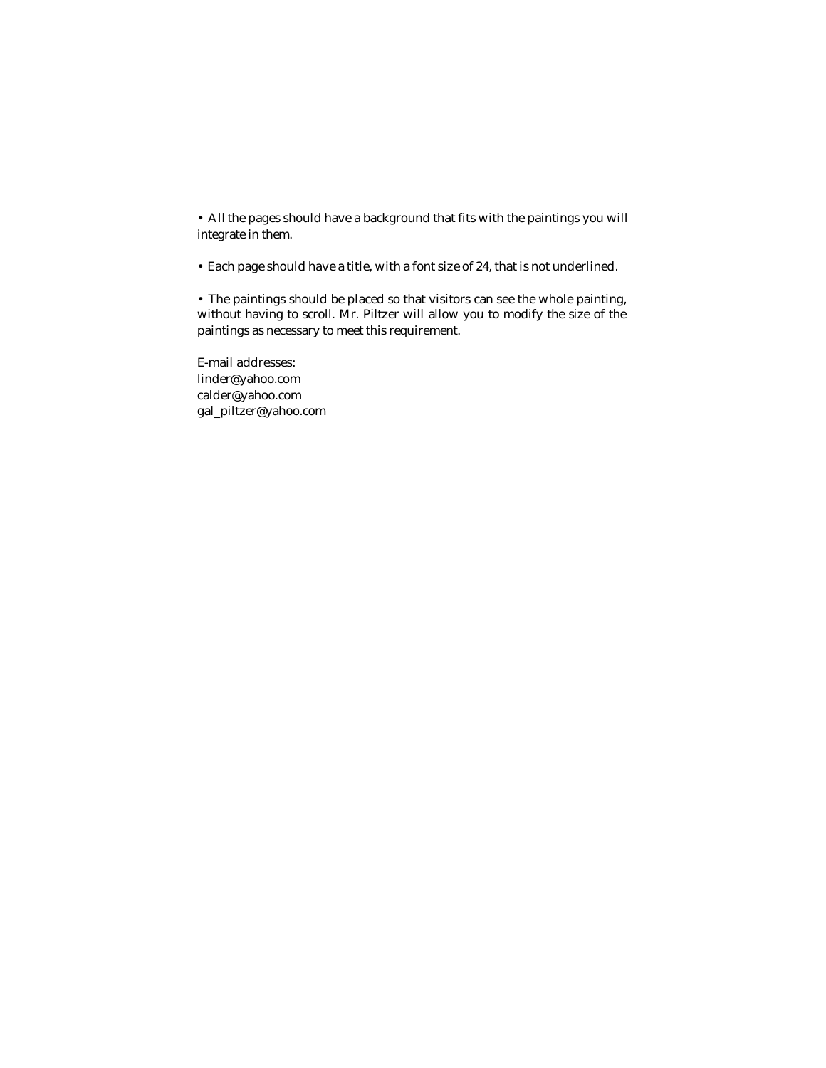• All the pages should have a background that fits with the paintings you will integrate in them.

• Each page should have a title, with a font size of 24, that is not underlined.

• The paintings should be placed so that visitors can see the whole painting, without having to scroll. Mr. Piltzer will allow you to modify the size of the paintings as necessary to meet this requirement.

E-mail addresses: linder@yahoo.com calder@yahoo.com gal\_piltzer@yahoo.com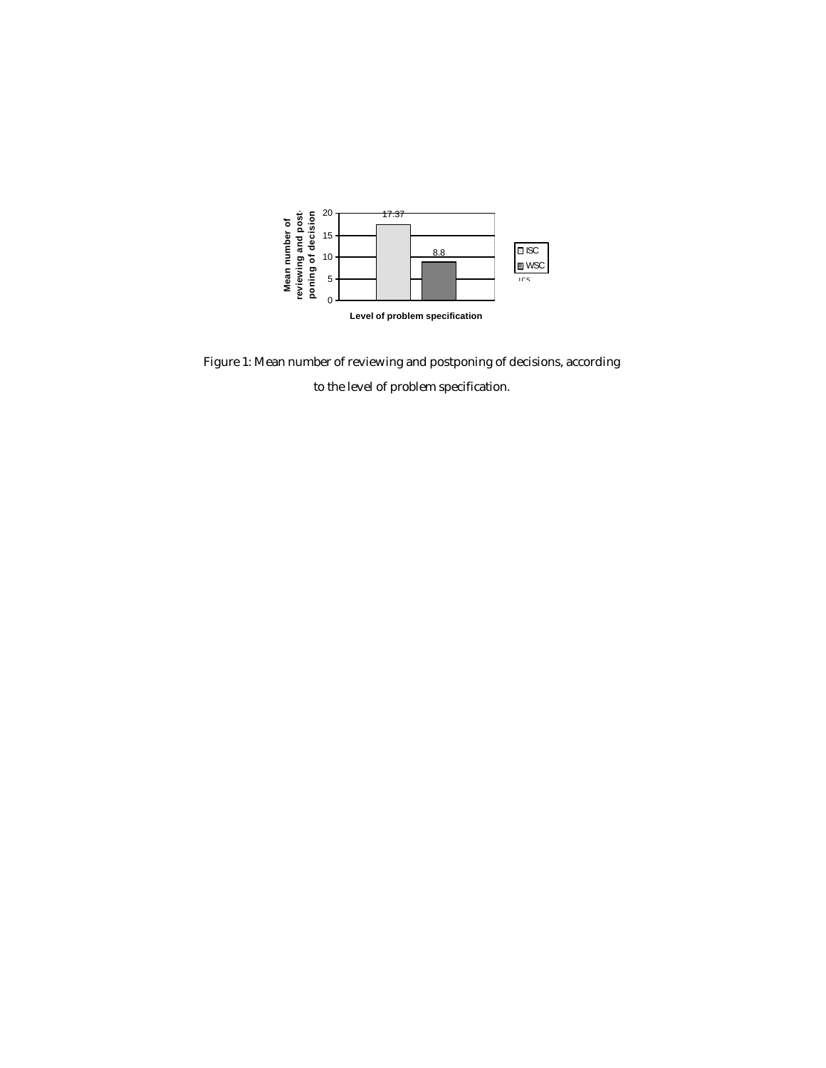

Figure 1: Mean number of reviewing and postponing of decisions, according

to the level of problem specification.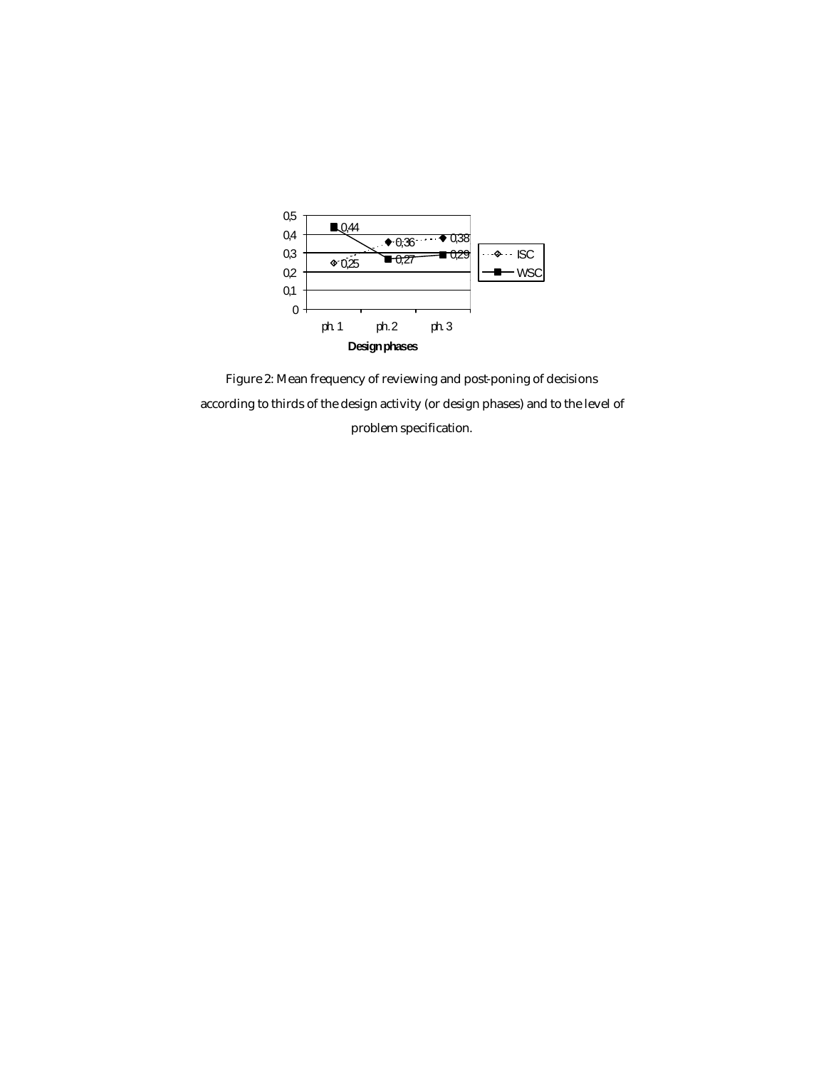

Figure 2: Mean frequency of reviewing and post-poning of decisions according to thirds of the design activity (or design phases) and to the level of problem specification.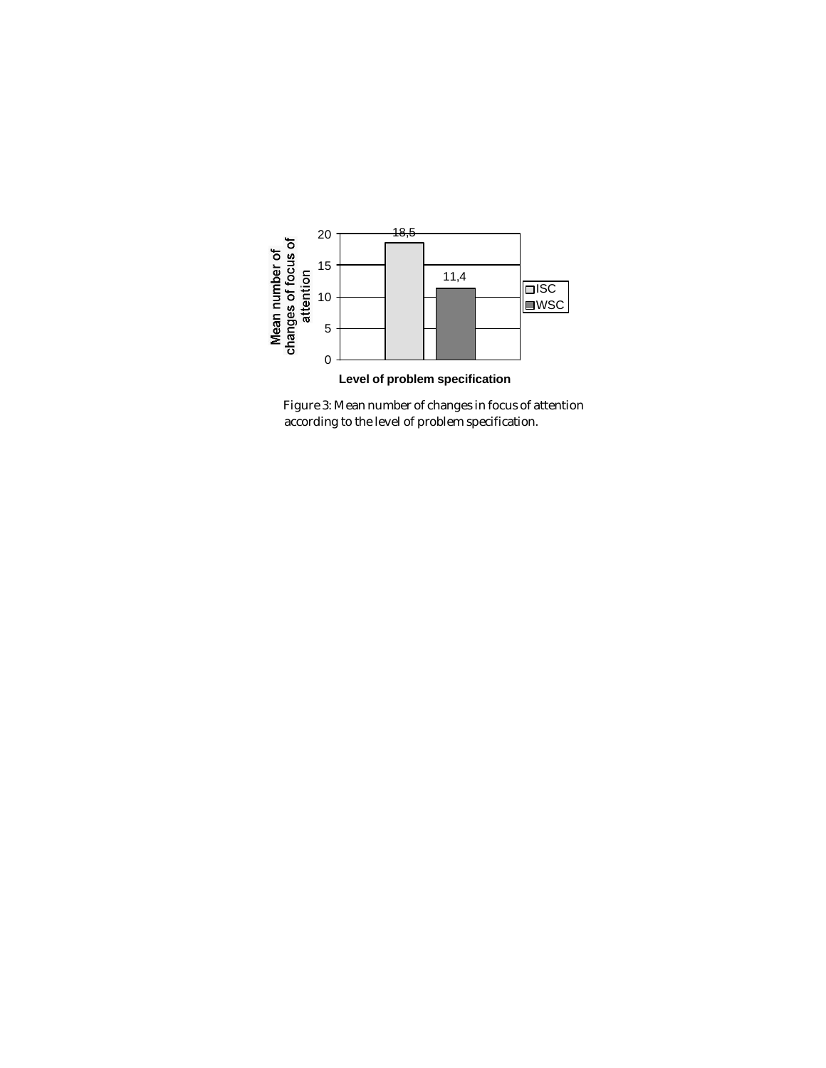

Figure 3: Mean number of changes in focus of attention according to the level of problem specification.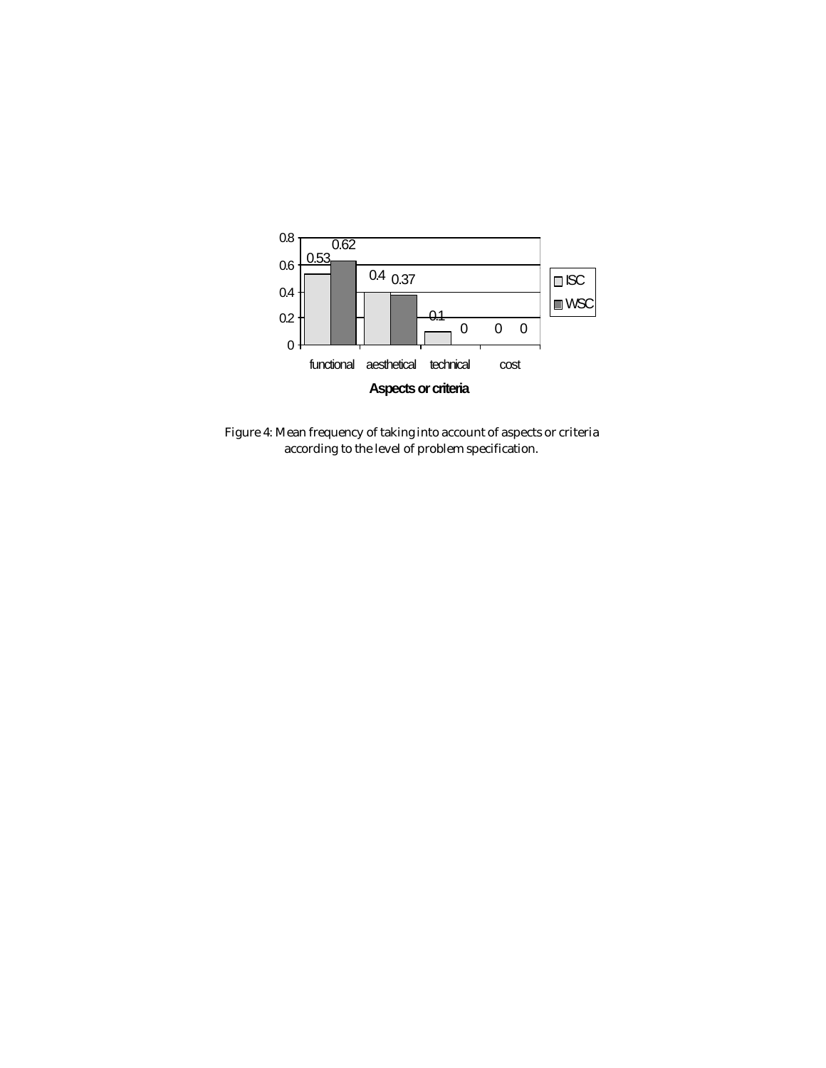

Figure 4: Mean frequency of taking into account of aspects or criteria according to the level of problem specification.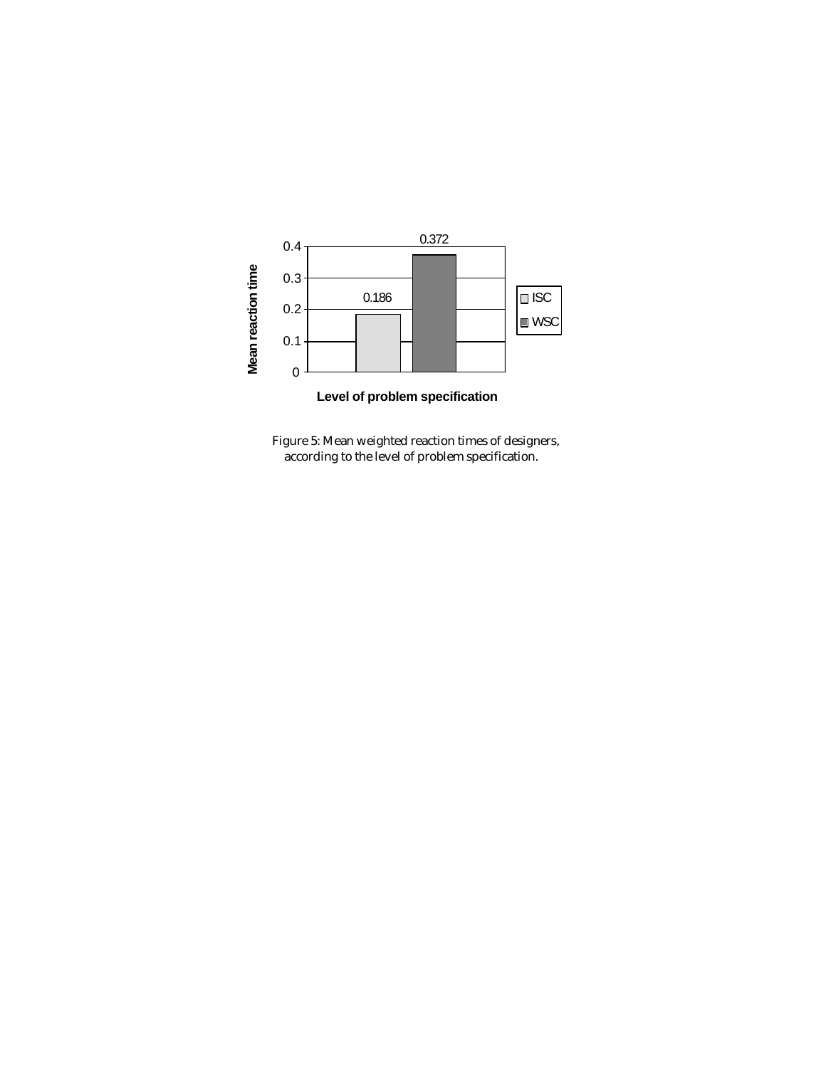

Figure 5: Mean weighted reaction times of designers, according to the level of problem specification.